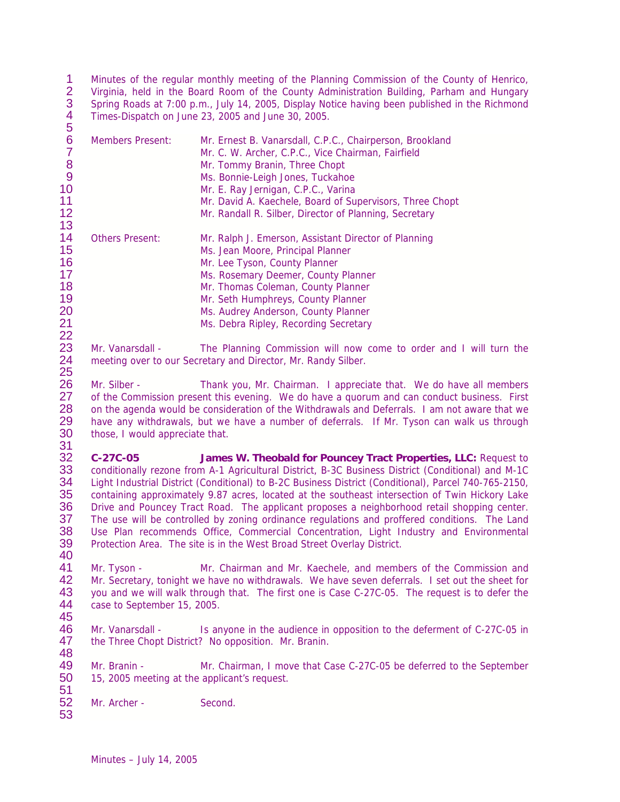1 2 3 4 5 Minutes of the regular monthly meeting of the Planning Commission of the County of Henrico, Virginia, held in the Board Room of the County Administration Building, Parham and Hungary Spring Roads at 7:00 p.m., July 14, 2005, Display Notice having been published in the Richmond Times-Dispatch on June 23, 2005 and June 30, 2005.

| ັ  |                         |                                                          |
|----|-------------------------|----------------------------------------------------------|
| 6  | <b>Members Present:</b> | Mr. Ernest B. Vanarsdall, C.P.C., Chairperson, Brookland |
|    |                         | Mr. C. W. Archer, C.P.C., Vice Chairman, Fairfield       |
| 8  |                         | Mr. Tommy Branin, Three Chopt                            |
| 9  |                         | Ms. Bonnie-Leigh Jones, Tuckahoe                         |
| 10 |                         | Mr. E. Ray Jernigan, C.P.C., Varina                      |
| 11 |                         | Mr. David A. Kaechele, Board of Supervisors, Three Chopt |
| 12 |                         | Mr. Randall R. Silber, Director of Planning, Secretary   |
| 13 |                         |                                                          |
| 14 | <b>Others Present:</b>  | Mr. Ralph J. Emerson, Assistant Director of Planning     |
| 15 |                         | Ms. Jean Moore, Principal Planner                        |
| 16 |                         | Mr. Lee Tyson, County Planner                            |
| 17 |                         | Ms. Rosemary Deemer, County Planner                      |
| 18 |                         | Mr. Thomas Coleman, County Planner                       |
| 19 |                         | Mr. Seth Humphreys, County Planner                       |
| 20 |                         | Ms. Audrey Anderson, County Planner                      |
| 21 |                         | Ms. Debra Ripley, Recording Secretary                    |
|    |                         |                                                          |

22 Mr. Vanarsdall - The Planning Commission will now come to order and I will turn the 24 meeting over to our Secretary and Director, Mr. Randy Silber.

25 Mr. Silber - Thank you, Mr. Chairman. I appreciate that. We do have all members 27 of the Commission present this evening. We do have a quorum and can conduct business. First 28 on the agenda would be consideration of the Withdrawals and Deferrals. I am not aware that we 29 have any withdrawals, but we have a number of deferrals. If Mr. Tyson can walk us through 30 those, I would appreciate that. those, I would appreciate that.

31<br>32 32 **C-27C-05 James W. Theobald for Pouncey Tract Properties, LLC:** Request to 33 conditionally rezone from A-1 Agricultural District, B-3C Business District (Conditional) and M-1C<br>34 Light Industrial District (Conditional) to B-2C Business District (Conditional), Parcel 740-765-2150. Light Industrial District (Conditional) to B-2C Business District (Conditional), Parcel 740-765-2150, 35 containing approximately 9.87 acres, located at the southeast intersection of Twin Hickory Lake 36 Drive and Pouncey Tract Road. The applicant proposes a neighborhood retail shopping center. 37 The use will be controlled by zoning ordinance regulations and proffered conditions. The Land 38 Use Plan recommends Office, Commercial Concentration, Light Industry and Environmental 39 Protection Area. The site is in the West Broad Street Overlay District.

40<br>41 41 Mr. Tyson - Mr. Chairman and Mr. Kaechele, and members of the Commission and 42 Mr. Secretary, tonight we have no withdrawals. We have seven deferrals. I set out the sheet for 42 Mr. Secretary, tonight we have no withdrawals. We have seven deferrals. I set out the sheet for<br>43 vou and we will walk through that. The first one is Case C-27C-05. The request is to defer the 43 you and we will walk through that. The first one is Case C-27C-05. The request is to defer the 44 case to September 15 2005 case to September 15, 2005. 45

46 Mr. Vanarsdall - Is anyone in the audience in opposition to the deferment of C-27C-05 in 47 the Three Chopt District? No opposition. Mr. Branin. 48

49 Mr. Branin - Mr. Chairman, I move that Case C-27C-05 be deferred to the September 50 15, 2005 meeting at the applicant's request.

51<br>52 Mr. Archer - Second.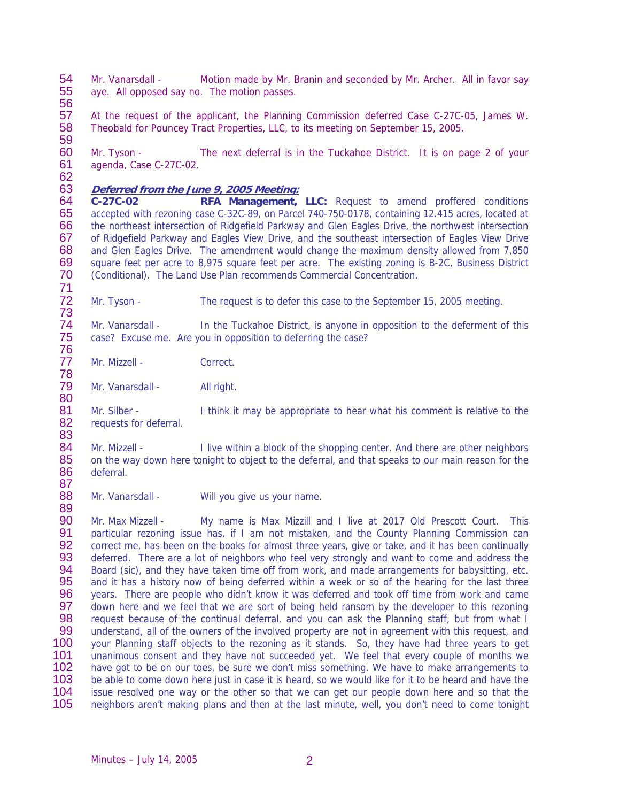54 Mr. Vanarsdall - Motion made by Mr. Branin and seconded by Mr. Archer. All in favor say<br>55 ave All opposed say no The motion passes aye. All opposed say no. The motion passes.

57 At the request of the applicant, the Planning Commission deferred Case C-27C-05, James W.<br>58 Theobald for Pouncey Tract Properties, LLC, to its meeting on September 15, 2005. Theobald for Pouncey Tract Properties, LLC, to its meeting on September 15, 2005. 59

60 Mr. Tyson - The next deferral is in the Tuckahoe District. It is on page 2 of your 61 agenda. Case C-27C-02. agenda, Case C-27C-02.

62<br>63 63 **Deferred from the June 9, 2005 Meeting:**

56

89

64 **C-27C-02 RFA Management, LLC:** Request to amend proffered conditions 65 accepted with rezoning case C-32C-89, on Parcel 740-750-0178, containing 12.415 acres, located at 66 the northeast intersection of Ridgefield Parkway and Glen Eagles Drive, the northwest intersection the northeast intersection of Ridgefield Parkway and Glen Eagles Drive, the northwest intersection 67 of Ridgefield Parkway and Eagles View Drive, and the southeast intersection of Eagles View Drive<br>68 and Glen Eagles Drive. The amendment would change the maximum density allowed from 7,850 and Glen Eagles Drive. The amendment would change the maximum density allowed from 7,850 69 square feet per acre to 8,975 square feet per acre. The existing zoning is B-2C, Business District 70 (Conditional). The Land Use Plan recommends Commercial Concentration. 70 (Conditional). The Land Use Plan recommends Commercial Concentration.

71 Mr. Tyson - The request is to defer this case to the September 15, 2005 meeting.

73 Mr. Vanarsdall - In the Tuckahoe District, is anyone in opposition to the deferment of this 75 case? Excuse me. Are you in opposition to deferring the case?

76 Mr. Mizzell - Correct. 78

Mr. Vanarsdall - All right.

80<br>81 81 Mr. Silber - I think it may be appropriate to hear what his comment is relative to the 82 requests for deferral. requests for deferral.

83 Mr. Mizzell - I live within a block of the shopping center. And there are other neighbors 85 on the way down here tonight to object to the deferral, and that speaks to our main reason for the 86 deferral.

87 Mr. Vanarsdall - Will you give us your name.

90 Mr. Max Mizzell - My name is Max Mizzill and I live at 2017 Old Prescott Court. This<br>91 particular rezoning issue has, if I am not mistaken, and the County Planning Commission can 91 particular rezoning issue has, if I am not mistaken, and the County Planning Commission can<br>92 correct me, has been on the books for almost three vears, give or take, and it has been continually 92 correct me, has been on the books for almost three years, give or take, and it has been continually<br>93 deferred. There are a lot of neighbors who feel very strongly and want to come and address the 93 deferred. There are a lot of neighbors who feel very strongly and want to come and address the<br>94 Board (sic), and they have taken time off from work, and made arrangements for babysitting, etc. 94 Board (sic), and they have taken time off from work, and made arrangements for babysitting, etc.<br>95 and it has a history now of being deferred within a week or so of the hearing for the last three and it has a history now of being deferred within a week or so of the hearing for the last three 96 years. There are people who didn't know it was deferred and took off time from work and came 97 down here and we feel that we are sort of being held ransom by the developer to this rezoning 98 request because of the continual deferral, and you can ask the Planning staff, but from what I 99 understand, all of the owners of the involved property are not in agreement with this request, and 100 your Planning staff objects to the rezoning as it stands. So, they have had three years to get 101 unanimous consent and they have not succeeded vet. We feel that every couple of months we 101 unanimous consent and they have not succeeded yet. We feel that every couple of months we<br>102 have got to be on our toes, be sure we don't miss something. We have to make arrangements to 102 have got to be on our toes, be sure we don't miss something. We have to make arrangements to 103 be able to come down here just in case it is heard, so we would like for it to be heard and have the 103 be able to come down here just in case it is heard, so we would like for it to be heard and have the 104 issue resolved one way or the other so that we can get our people down here and so that the 104 issue resolved one way or the other so that we can get our people down here and so that the 105 reighbors aren't making plans and then at the last minute, well, you don't need to come tonight 105 neighbors aren't making plans and then at the last minute, well, you don't need to come tonight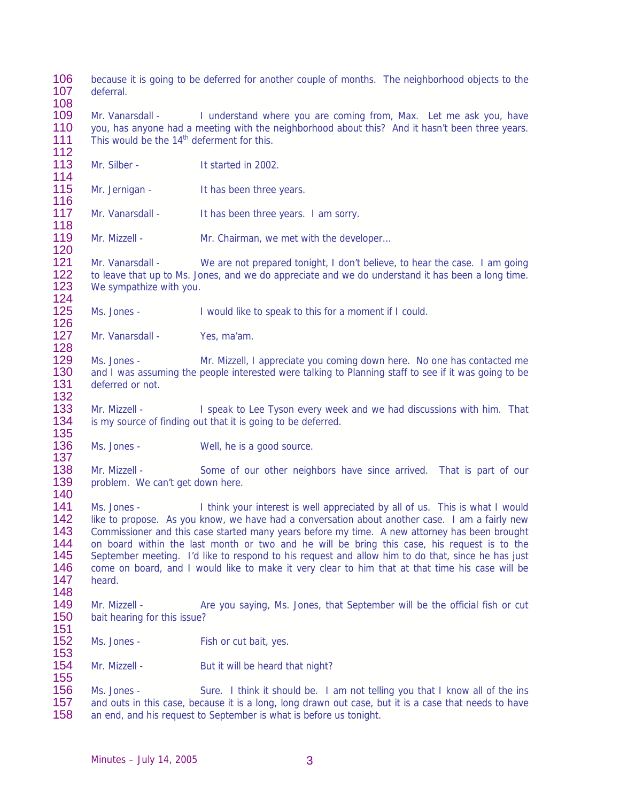106 because it is going to be deferred for another couple of months. The neighborhood objects to the 107 deferral deferral 108

109 Mr. Vanarsdall - I understand where you are coming from, Max. Let me ask you, have 110 vou. has anyone had a meeting with the neighborhood about this? And it hasn't been three vears. vou, has anyone had a meeting with the neighborhood about this? And it hasn't been three years. 111 This would be the  $14<sup>th</sup>$  deferment for this.

- 112 Mr. Silber - It started in 2002.
- 114 Mr. Jernigan - It has been three years.

116<br>117 Mr. Vanarsdall - It has been three years. I am sorry.

119 Mr. Mizzell - Mr. Chairman, we met with the developer… 120

121 Mr. Vanarsdall - We are not prepared tonight, I don't believe, to hear the case. I am going<br>122 to leave that up to Ms. Jones, and we do appreciate and we do understand it has been a long time. to leave that up to Ms. Jones, and we do appreciate and we do understand it has been a long time. 123 We sympathize with you.

124 Ms. Jones - I would like to speak to this for a moment if I could.

126 Mr. Vanarsdall - Yes, ma'am. 128

118

153

155

129 Ms. Jones - Mr. Mizzell, I appreciate you coming down here. No one has contacted me 130 and I was assuming the people interested were talking to Planning staff to see if it was going to be 131 deferred or not. deferred or not.

132<br>133 133 Mr. Mizzell - I speak to Lee Tyson every week and we had discussions with him. That 134 is my source of finding out that it is going to be deferred.

135 Ms. Jones - Well, he is a good source.

137 138 Mr. Mizzell - Some of our other neighbors have since arrived. That is part of our 139 problem. We can't get down here. problem. We can't get down here.

140 Ms. Jones - I think your interest is well appreciated by all of us. This is what I would 142 like to propose. As you know, we have had a conversation about another case. I am a fairly new 143 Commissioner and this case started many years before my time. A new attorney has been brought 144 on board within the last month or two and he will be bring this case, his request is to the 145 September meeting. I'd like to respond to his request and allow him to do that, since he has just 146 come on board, and I would like to make it very clear to him that at that time his case will be 146 come on board, and I would like to make it very clear to him that at that time his case will be 147 heard. heard.

148 Mr. Mizzell - Are you saying, Ms. Jones, that September will be the official fish or cut 150 bait hearing for this issue?

- 151 Ms. Jones - Fish or cut bait, yes.
- 154 Mr. Mizzell But it will be heard that night?

156 Ms. Jones - Sure. I think it should be. I am not telling you that I know all of the ins<br>157 and outs in this case, because it is a long, long drawn out case, but it is a case that needs to have 157 and outs in this case, because it is a long, long drawn out case, but it is a case that needs to have 158 an end, and his request to September is what is before us tonight. an end, and his request to September is what is before us tonight.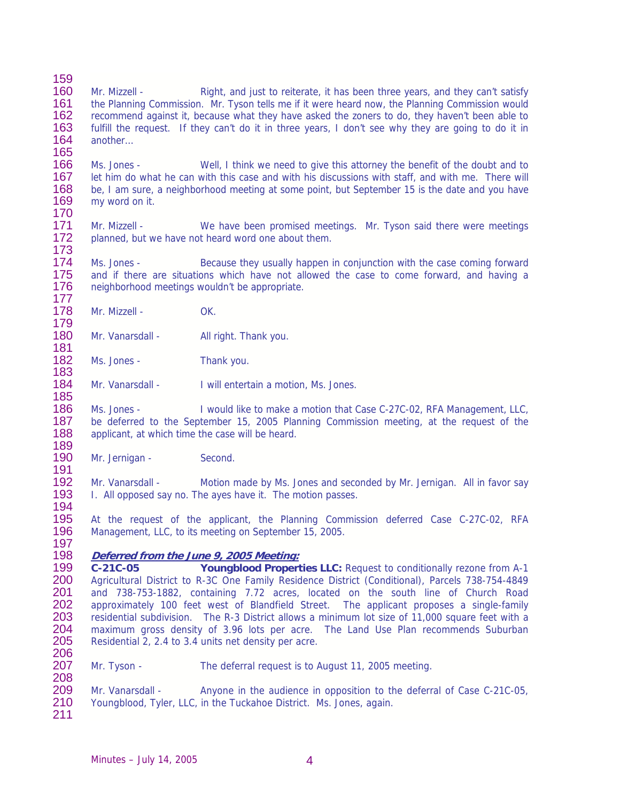159<br>160 160 Mr. Mizzell - Right, and just to reiterate, it has been three years, and they can't satisfy 161 the Planning Commission. Mr. Tyson tells me if it were heard now, the Planning Commission would 162 recommend against it, because what they have asked the zoners to do, they haven't been able to<br>163 fulfill the request. If they can't do it in three years. I don't see why they are going to do it in fulfill the request. If they can't do it in three years, I don't see why they are going to do it in 164 another… 165 166 Ms. Jones - Well, I think we need to give this attorney the benefit of the doubt and to<br>167 Let him do what he can with this case and with his discussions with staff, and with me. There will

167 Let him do what he can with this case and with his discussions with staff, and with me. There will 168 Let han sure, a neighborhood meeting at some point, but September 15 is the date and you have 168 be, I am sure, a neighborhood meeting at some point, but September 15 is the date and you have 169 my word on it. my word on it.

170 Mr. Mizzell - We have been promised meetings. Mr. Tyson said there were meetings 172 planned, but we have not heard word one about them.

173 Ms. Jones - Because they usually happen in conjunction with the case coming forward 175 and if there are situations which have not allowed the case to come forward, and having a 176 neighborhood meetings wouldn't be appropriate.

177 Mr. Mizzell - OK.

185

179 Mr. Vanarsdall - All right. Thank you. 181

182 Ms. Jones - Thank you.

183 Mr. Vanarsdall - I will entertain a motion, Ms. Jones.

186 Ms. Jones - I would like to make a motion that Case C-27C-02, RFA Management, LLC, 187 be deferred to the September 15, 2005 Planning Commission meeting, at the request of the 188 applicant, at which time the case will be heard. applicant, at which time the case will be heard.

189 Mr. Jernigan - Second.

191 Mr. Vanarsdall - Motion made by Ms. Jones and seconded by Mr. Jernigan. All in favor say 193 I. All opposed say no. The ayes have it. The motion passes. 194

195 At the request of the applicant, the Planning Commission deferred Case C-27C-02, RFA 196 Management, LLC, to its meeting on September 15, 2005. 197

## 198 **Deferred from the June 9, 2005 Meeting:**

199 **C-21C-05 Youngblood Properties LLC:** Request to conditionally rezone from A-1 200 Agricultural District to R-3C One Family Residence District (Conditional), Parcels 738-754-4849<br>201 and 738-753-1882, containing 7.72 acres, located on the south line of Church Road 201 and 738-753-1882, containing 7.72 acres, located on the south line of Church Road<br>202 approximately 100 feet west of Blandfield Street. The applicant proposes a single-family approximately 100 feet west of Blandfield Street. The applicant proposes a single-family 203 residential subdivision. The R-3 District allows a minimum lot size of 11,000 square feet with a<br>204 maximum gross density of 3.96 lots per acre. The Land Use Plan recommends Suburban maximum gross density of 3.96 lots per acre. The Land Use Plan recommends Suburban 205 Residential 2, 2.4 to 3.4 units net density per acre. 206

207 Mr. Tyson - The deferral request is to August 11, 2005 meeting. 208

209 Mr. Vanarsdall - Anyone in the audience in opposition to the deferral of Case C-21C-05,<br>210 Youngblood, Tyler, LLC, in the Tuckahoe District, Ms. Jones, again. Youngblood, Tyler, LLC, in the Tuckahoe District. Ms. Jones, again. 211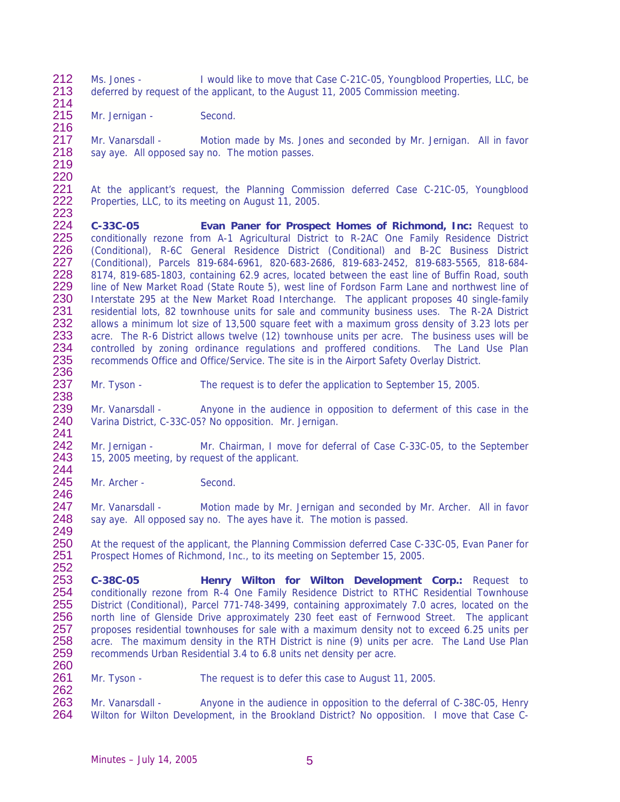212 Ms. Jones - I would like to move that Case C-21C-05, Youngblood Properties, LLC, be<br>213 deferred by request of the applicant to the August 11 2005 Commission meeting deferred by request of the applicant, to the August 11, 2005 Commission meeting. 214

215 Mr. Jernigan - Second. 216

217 Mr. Vanarsdall - Motion made by Ms. Jones and seconded by Mr. Jernigan. All in favor 218 say aye. All opposed say no. The motion passes.

219 220

221 At the applicant's request, the Planning Commission deferred Case C-21C-05, Youngblood 222 Properties. LLC, to its meeting on August 11, 2005. Properties, LLC, to its meeting on August 11, 2005.

223 224 **C-33C-05 Evan Paner for Prospect Homes of Richmond, Inc:** Request to 225 conditionally rezone from A-1 Agricultural District to R-2AC One Family Residence District<br>226 (Conditional), R-6C General Residence District (Conditional) and B-2C Business District 226 (Conditional), R-6C General Residence District (Conditional) and B-2C Business District<br>227 (Conditional), Parcels 819-684-6961, 820-683-2686, 819-683-2452, 819-683-5565, 818-684-227 (Conditional), Parcels 819-684-6961, 820-683-2686, 819-683-2452, 819-683-5565, 818-684-<br>228 8174, 819-685-1803, containing 62.9 acres, located between the east line of Buffin Road, south 228 8174, 819-685-1803, containing 62.9 acres, located between the east line of Buffin Road, south 229 line of New Market Road (State Route 5), west line of Fordson Farm Lane and northwest line of 230 Interstate 295 at the New Market Road Interchange. The applicant proposes 40 single-family 230 Interstate 295 at the New Market Road Interchange. The applicant proposes 40 single-family<br>231 residential lots, 82 townhouse units for sale and community business uses. The R-2A District 231 residential lots, 82 townhouse units for sale and community business uses. The R-2A District<br>232 allows a minimum lot size of 13.500 square feet with a maximum gross density of 3.23 lots per 232 allows a minimum lot size of 13,500 square feet with a maximum gross density of 3.23 lots per 233 acre. The R-6 District allows twelve (12) townhouse units per acre. The business uses will be 233 acre. The R-6 District allows twelve (12) townhouse units per acre. The business uses will be 234 controlled by zoning ordinance regulations and proffered conditions. The Land Use Plan 234 controlled by zoning ordinance regulations and proffered conditions. The Land Use Plan<br>235 recommends Office and Office/Service. The site is in the Airport Safety Overlay District. recommends Office and Office/Service. The site is in the Airport Safety Overlay District. 236<br>237

237 Mr. Tyson - The request is to defer the application to September 15, 2005.

238<br>239 Mr. Vanarsdall - Anyone in the audience in opposition to deferment of this case in the 240 Varina District, C-33C-05? No opposition. Mr. Jernigan.

241<br>242 242 Mr. Jernigan - Mr. Chairman, I move for deferral of Case C-33C-05, to the September 243 15. 2005 meeting. by request of the applicant. 15, 2005 meeting, by request of the applicant.

244<br>245 Mr. Archer - Second.

246<br>247 Mr. Vanarsdall - Motion made by Mr. Jernigan and seconded by Mr. Archer. All in favor 248 say aye. All opposed say no. The ayes have it. The motion is passed. 249

250 At the request of the applicant, the Planning Commission deferred Case C-33C-05, Evan Paner for 251 Prospect Homes of Richmond, Inc., to its meeting on September 15, 2005. Prospect Homes of Richmond, Inc., to its meeting on September 15, 2005.

252<br>253 253 **C-38C-05 Henry Wilton for Wilton Development Corp.:** Request to 254 conditionally rezone from R-4 One Family Residence District to RTHC Residential Townhouse<br>255 District (Conditional), Parcel 771-748-3499, containing approximately 7.0 acres, located on the 255 District (Conditional), Parcel 771-748-3499, containing approximately 7.0 acres, located on the 256 north line of Glenside Drive approximately 230 feet east of Fernwood Street. The applicant 257 proposes residential townhouses for sale with a maximum density not to exceed 6.25 units per 257 proposes residential townhouses for sale with a maximum density not to exceed 6.25 units per 258 acre. The maximum density in the RTH District is nine (9) units per acre. The Land Use Plan acre. The maximum density in the RTH District is nine (9) units per acre. The Land Use Plan 259 recommends Urban Residential 3.4 to 6.8 units net density per acre. 260

261 Mr. Tyson - The request is to defer this case to August 11, 2005.

262<br>263 263 Mr. Vanarsdall - Anyone in the audience in opposition to the deferral of C-38C-05, Henry<br>264 Wilton for Wilton Development, in the Brookland District? No opposition. I move that Case C-Wilton for Wilton Development, in the Brookland District? No opposition. I move that Case C-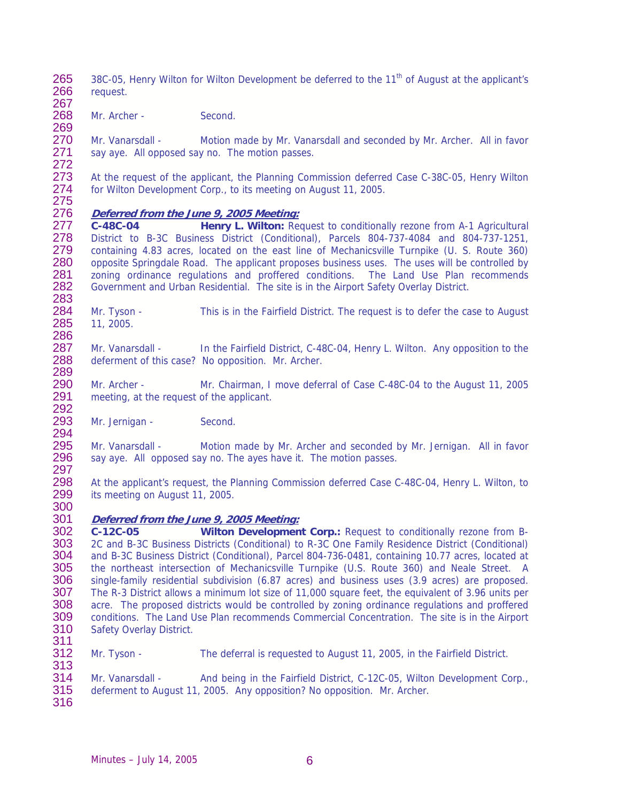265 38C-05, Henry Wilton for Wilton Development be deferred to the  $11<sup>th</sup>$  of August at the applicant's 266 request. request. 267

268 Mr. Archer - Second. 269

270 Mr. Vanarsdall - Motion made by Mr. Vanarsdall and seconded by Mr. Archer. All in favor 271 say aye. All opposed say no. The motion passes.

272 273 At the request of the applicant, the Planning Commission deferred Case C-38C-05, Henry Wilton 274 for Wilton Development Corp., to its meeting on August 11, 2005. for Wilton Development Corp., to its meeting on August 11, 2005.

275<br>276

## 276 **Deferred from the June 9, 2005 Meeting:**

277 **C-48C-04 Henry L. Wilton:** Request to conditionally rezone from A-1 Agricultural 278 District to B-3C Business District (Conditional), Parcels 804-737-4084 and 804-737-1251,<br>279 containing 4.83 acres, located on the east line of Mechanicsville Turnpike (U. S. Route 360) containing 4.83 acres, located on the east line of Mechanicsville Turnpike (U. S. Route 360) 280 opposite Springdale Road. The applicant proposes business uses. The uses will be controlled by 281 zoning ordinance regulations and proffered conditions. The Land Use Plan recommends 282 Government and Urban Residential. The site is in the Airport Safety Overlay District.

283 284 Mr. Tyson - This is in the Fairfield District. The request is to defer the case to August 285 11, 2005. 11, 2005.

286 Mr. Vanarsdall - In the Fairfield District, C-48C-04, Henry L. Wilton. Any opposition to the 288 deferment of this case? No opposition. Mr. Archer.

289 290 Mr. Archer - Mr. Chairman, I move deferral of Case C-48C-04 to the August 11, 2005<br>291 meeting, at the request of the applicant. meeting, at the request of the applicant.

292<br>293 Mr. Jernigan - Second.

294<br>295 295 Mr. Vanarsdall - Motion made by Mr. Archer and seconded by Mr. Jernigan. All in favor<br>296 sav ave. All opposed sav no. The aves have it. The motion passes. say aye. All opposed say no. The ayes have it. The motion passes.

297<br>298 298 At the applicant's request, the Planning Commission deferred Case C-48C-04, Henry L. Wilton, to 299 its meeting on August 11, 2005.

300 301 **Deferred from the June 9, 2005 Meeting:**

302 **C-12C-05 Wilton Development Corp.:** Request to conditionally rezone from B-303 2C and B-3C Business Districts (Conditional) to R-3C One Family Residence District (Conditional) 304 and B-3C Business District (Conditional), Parcel 804-736-0481, containing 10.77 acres, located at 305 the northeast intersection of Mechanicsville Turnpike (U.S. Route 360) and Neale Street. A 305 the northeast intersection of Mechanicsville Turnpike (U.S. Route 360) and Neale Street. A<br>306 single-family residential subdivision (6.87 acres) and business uses (3.9 acres) are proposed. 306 single-family residential subdivision (6.87 acres) and business uses (3.9 acres) are proposed.<br>307 The R-3 District allows a minimum lot size of 11.000 square feet, the equivalent of 3.96 units per 307 The R-3 District allows a minimum lot size of 11,000 square feet, the equivalent of 3.96 units per 308 acre. The proposed districts would be controlled by zoning ordinance regulations and proffered acre. The proposed districts would be controlled by zoning ordinance regulations and proffered 309 conditions. The Land Use Plan recommends Commercial Concentration. The site is in the Airport 310 Safety Overlay District. Safety Overlay District. 311

312 Mr. Tyson - The deferral is requested to August 11, 2005, in the Fairfield District. 313

314 Mr. Vanarsdall - And being in the Fairfield District, C-12C-05, Wilton Development Corp., 315 deferment to August 11, 2005. Any opposition? No opposition. Mr. Archer.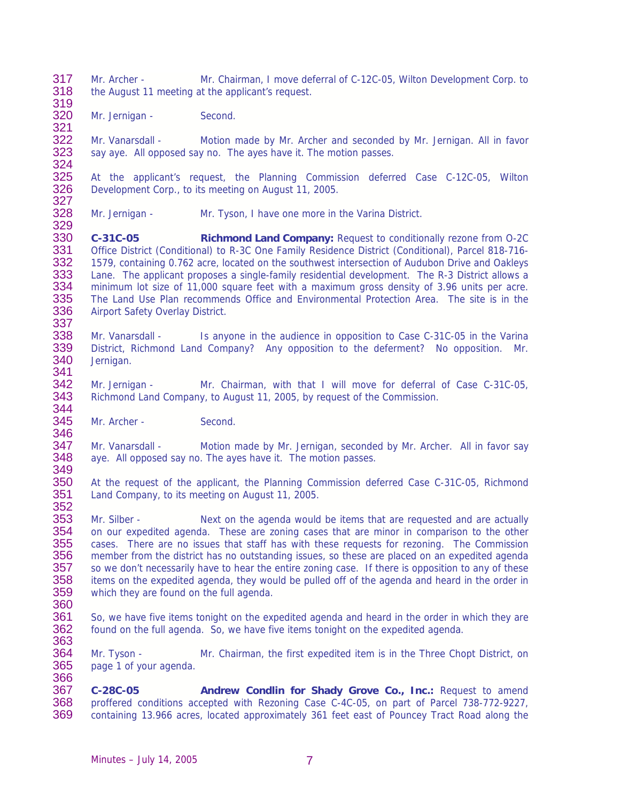317 Mr. Archer - Mr. Chairman, I move deferral of C-12C-05, Wilton Development Corp. to<br>318 the August 11 meeting at the applicant's request. the August 11 meeting at the applicant's request. 319

320 Mr. Jernigan - Second.

321<br>322 322 Mr. Vanarsdall - Motion made by Mr. Archer and seconded by Mr. Jernigan. All in favor<br>323 Saviave. All opposed savino. The aves have it. The motion passes. say aye. All opposed say no. The ayes have it. The motion passes.

324<br>325 325 At the applicant's request, the Planning Commission deferred Case C-12C-05, Wilton 326 Development Corp., to its meeting on August 11, 2005. Development Corp., to its meeting on August 11, 2005.

327<br>328 Mr. Jernigan - Mr. Tyson, I have one more in the Varina District.

330 **C-31C-05 Richmond Land Company:** Request to conditionally rezone from 0-2C<br>331 Office District (Conditional) to R-3C One Family Residence District (Conditional), Parcel 818-716-331 Office District (Conditional) to R-3C One Family Residence District (Conditional), Parcel 818-716-<br>332 1579, containing 0.762 acre, located on the southwest intersection of Audubon Drive and Oakleys 332 1579, containing 0.762 acre, located on the southwest intersection of Audubon Drive and Oakleys<br>333 Lane. The applicant proposes a single-family residential development. The R-3 District allows a Lane. The applicant proposes a single-family residential development. The R-3 District allows a 334 minimum lot size of 11,000 square feet with a maximum gross density of 3.96 units per acre.<br>335 The Land Use Plan recommends Office and Environmental Protection Area. The site is in the 335 The Land Use Plan recommends Office and Environmental Protection Area. The site is in the 336 Airport Safety Overlay District. Airport Safety Overlay District.

337<br>338 338 Mr. Vanarsdall - Is anyone in the audience in opposition to Case C-31C-05 in the Varina<br>339 District, Richmond Land Company? Any opposition to the deferment? No opposition. Mr. 339 District, Richmond Land Company? Any opposition to the deferment? No opposition. Mr.<br>340 Jernigan. Jernigan.

341<br>342 342 Mr. Jernigan - Mr. Chairman, with that I will move for deferral of Case C-31C-05,<br>343 Richmond Land Company, to August 11, 2005, by request of the Commission. Richmond Land Company, to August 11, 2005, by request of the Commission. 344

345 Mr. Archer - Second.

346<br>347 347 Mr. Vanarsdall - Motion made by Mr. Jernigan, seconded by Mr. Archer. All in favor say<br>348 ave. All opposed say no. The aves have it. The motion passes. aye. All opposed say no. The ayes have it. The motion passes.

349<br>350 At the request of the applicant, the Planning Commission deferred Case C-31C-05, Richmond 351 Land Company, to its meeting on August 11, 2005. 352

353 Mr. Silber - Next on the agenda would be items that are requested and are actually 354 on our expedited agenda. These are zoning cases that are minor in comparison to the other 355 cases. There are no issues that staff has with these requests for rezoning. The Commission 356 member from the district has no outstanding issues, so these are placed on an expedited agenda<br>357 so we don't necessarily have to hear the entire zoning case. If there is opposition to any of these 357 so we don't necessarily have to hear the entire zoning case. If there is opposition to any of these<br>358 items on the expedited agenda, they would be pulled off of the agenda and heard in the order in 358 items on the expedited agenda, they would be pulled off of the agenda and heard in the order in 359 which they are found on the full agenda. which they are found on the full agenda.

360

366

329

361 So, we have five items tonight on the expedited agenda and heard in the order in which they are 362 found on the full agenda. So, we have five items tonight on the expedited agenda. found on the full agenda. So, we have five items tonight on the expedited agenda. 363

364 Mr. Tyson - Mr. Chairman, the first expedited item is in the Three Chopt District, on 365 page 1 of your agenda.

367 **C-28C-05 Andrew Condlin for Shady Grove Co., Inc.:** Request to amend 368 proffered conditions accepted with Rezoning Case C-4C-05, on part of Parcel 738-772-9227, 369 containing 13.966 acres, located approximately 361 feet east of Pouncey Tract Road along the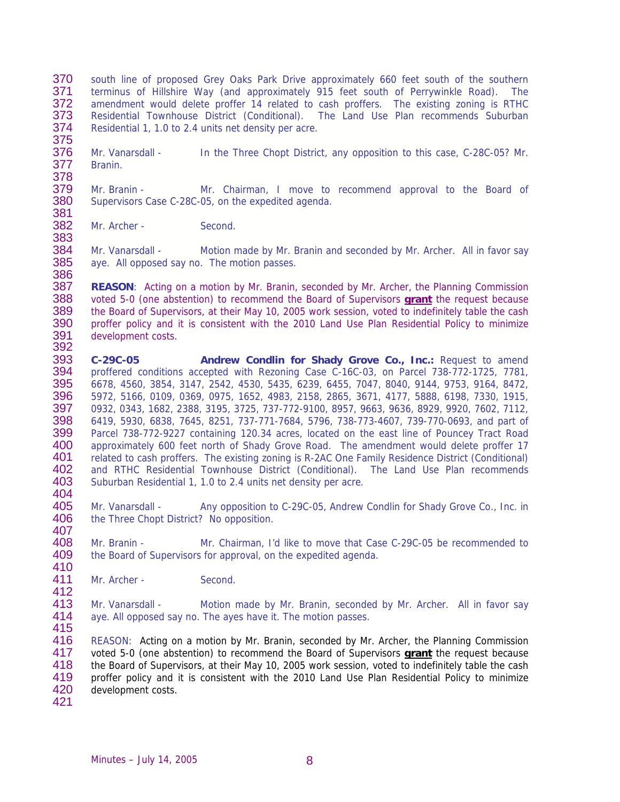- 370 south line of proposed Grey Oaks Park Drive approximately 660 feet south of the southern<br>371 terminus of Hillshire Way (and approximately 915 feet south of Perrywinkle Road). The 371 terminus of Hillshire Way (and approximately 915 feet south of Perrywinkle Road). The 372 amendment would delete proffer 14 related to cash proffers. The existing zoning is RTHC amendment would delete proffer 14 related to cash proffers. The existing zoning is RTHC 373 Residential Townhouse District (Conditional). The Land Use Plan recommends Suburban<br>374 Residential 1, 1.0 to 2.4 units net density per acre. Residential 1, 1.0 to 2.4 units net density per acre. 375
- 376 Mr. Vanarsdall In the Three Chopt District, any opposition to this case, C-28C-05? Mr.<br>377 Branin. Branin.
- 378 379 Mr. Branin - Mr. Chairman, I move to recommend approval to the Board of 380 Supervisors Case C-28C-05, on the expedited agenda. Supervisors Case C-28C-05, on the expedited agenda.
- 381<br>382 Mr. Archer - Second.
- 383 Mr. Vanarsdall - Motion made by Mr. Branin and seconded by Mr. Archer. All in favor say 385 aye. All opposed say no. The motion passes.
- 387 **REASON**: Acting on a motion by Mr. Branin, seconded by Mr. Archer, the Planning Commission<br>388 voted 5-0 (one abstention) to recommend the Board of Supervisors **grant** the request because 388 voted 5-0 (one abstention) to recommend the Board of Supervisors **grant** the request because 389 the Board of Supervisors, at their May 10, 2005 work session, voted to indefinitely table the cash<br>390 proffer policy and it is consistent with the 2010 Land Use Plan Residential Policy to minimize 390 proffer policy and it is consistent with the 2010 Land Use Plan Residential Policy to minimize<br>391 development costs. 391 development costs.<br>392
- 393 394 395 396 397 398 399 400 401 402 403 404 **C-29C-05 Andrew Condlin for Shady Grove Co., Inc.:** Request to amend proffered conditions accepted with Rezoning Case C-16C-03, on Parcel 738-772-1725, 7781, 6678, 4560, 3854, 3147, 2542, 4530, 5435, 6239, 6455, 7047, 8040, 9144, 9753, 9164, 8472, 5972, 5166, 0109, 0369, 0975, 1652, 4983, 2158, 2865, 3671, 4177, 5888, 6198, 7330, 1915, 0932, 0343, 1682, 2388, 3195, 3725, 737-772-9100, 8957, 9663, 9636, 8929, 9920, 7602, 7112, 6419, 5930, 6838, 7645, 8251, 737-771-7684, 5796, 738-773-4607, 739-770-0693, and part of Parcel 738-772-9227 containing 120.34 acres, located on the east line of Pouncey Tract Road approximately 600 feet north of Shady Grove Road. The amendment would delete proffer 17 related to cash proffers. The existing zoning is R-2AC One Family Residence District (Conditional) and RTHC Residential Townhouse District (Conditional). The Land Use Plan recommends Suburban Residential 1, 1.0 to 2.4 units net density per acre.
- 405 406 407 Mr. Vanarsdall - Any opposition to C-29C-05, Andrew Condlin for Shady Grove Co., Inc. in the Three Chopt District? No opposition.
- 408 409 Mr. Branin - Mr. Chairman, I'd like to move that Case C-29C-05 be recommended to the Board of Supervisors for approval, on the expedited agenda.
- 411 Mr. Archer - Second.
- 413 414 415 Mr. Vanarsdall - Motion made by Mr. Branin, seconded by Mr. Archer. All in favor say aye. All opposed say no. The ayes have it. The motion passes.
- 416 REASON: Acting on a motion by Mr. Branin, seconded by Mr. Archer, the Planning Commission voted 5-0 (one abstention) to recommend the Board of Supervisors **grant** the request because the Board of Supervisors, at their May 10, 2005 work session, voted to indefinitely table the cash proffer policy and it is consistent with the 2010 Land Use Plan Residential Policy to minimize development costs. 417 418 419 420
- 421

410

412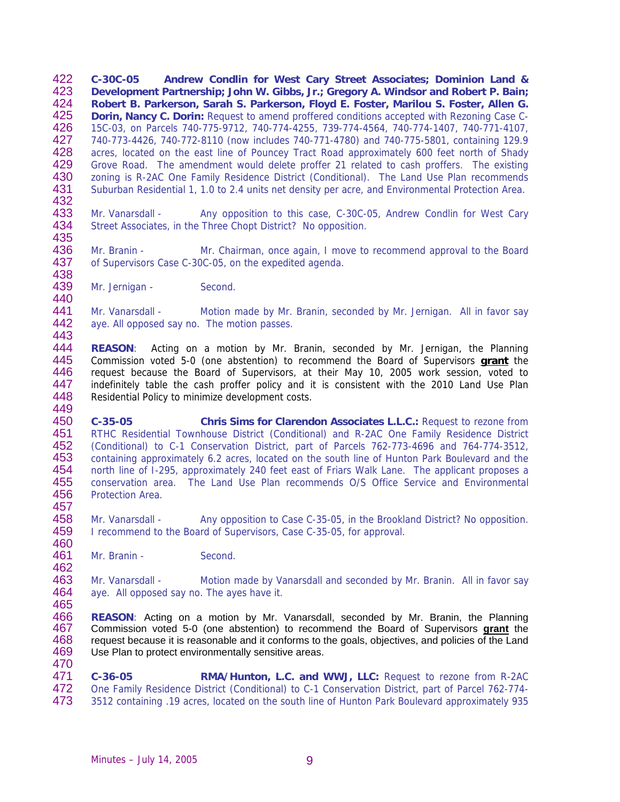422 423 424 425 426 427 428 429 430 431 432 433 434 435 436 437 438 **C-30C-05 Andrew Condlin for West Cary Street Associates; Dominion Land & Development Partnership; John W. Gibbs, Jr.; Gregory A. Windsor and Robert P. Bain; Robert B. Parkerson, Sarah S. Parkerson, Floyd E. Foster, Marilou S. Foster, Allen G. Dorin, Nancy C. Dorin:** Request to amend proffered conditions accepted with Rezoning Case C-15C-03, on Parcels 740-775-9712, 740-774-4255, 739-774-4564, 740-774-1407, 740-771-4107, 740-773-4426, 740-772-8110 (now includes 740-771-4780) and 740-775-5801, containing 129.9 acres, located on the east line of Pouncey Tract Road approximately 600 feet north of Shady Grove Road. The amendment would delete proffer 21 related to cash proffers. The existing zoning is R-2AC One Family Residence District (Conditional). The Land Use Plan recommends Suburban Residential 1, 1.0 to 2.4 units net density per acre, and Environmental Protection Area. Mr. Vanarsdall - Any opposition to this case, C-30C-05, Andrew Condlin for West Cary Street Associates, in the Three Chopt District? No opposition. Mr. Branin - Mr. Chairman, once again, I move to recommend approval to the Board of Supervisors Case C-30C-05, on the expedited agenda.

439 440 Mr. Jernigan - Second.

441 442 443 Mr. Vanarsdall - Motion made by Mr. Branin, seconded by Mr. Jernigan. All in favor say aye. All opposed say no. The motion passes.

- 444 **REASON**: Acting on a motion by Mr. Branin, seconded by Mr. Jernigan, the Planning Commission voted 5-0 (one abstention) to recommend the Board of Supervisors **grant** the request because the Board of Supervisors, at their May 10, 2005 work session, voted to indefinitely table the cash proffer policy and it is consistent with the 2010 Land Use Plan Residential Policy to minimize development costs. 445 446 447 448 449
- 450 451 452 453 454 455 456 457 **C-35-05 Chris Sims for Clarendon Associates L.L.C.:** Request to rezone from RTHC Residential Townhouse District (Conditional) and R-2AC One Family Residence District (Conditional) to C-1 Conservation District, part of Parcels 762-773-4696 and 764-774-3512, containing approximately 6.2 acres, located on the south line of Hunton Park Boulevard and the north line of I-295, approximately 240 feet east of Friars Walk Lane. The applicant proposes a conservation area. The Land Use Plan recommends O/S Office Service and Environmental Protection Area.
- 458 459 460 Mr. Vanarsdall - Any opposition to Case C-35-05, in the Brookland District? No opposition. I recommend to the Board of Supervisors, Case C-35-05, for approval.
- 461 Mr. Branin - Second.

462

463 464 465 Mr. Vanarsdall - Motion made by Vanarsdall and seconded by Mr. Branin. All in favor say aye. All opposed say no. The ayes have it.

- 466 **REASON**: Acting on a motion by Mr. Vanarsdall, seconded by Mr. Branin, the Planning Commission voted 5-0 (one abstention) to recommend the Board of Supervisors **grant** the request because it is reasonable and it conforms to the goals, objectives, and policies of the Land Use Plan to protect environmentally sensitive areas. 467 468 469 470
- 471 472 473 **C-36-05 RMA/Hunton, L.C. and WWJ, LLC:** Request to rezone from R-2AC One Family Residence District (Conditional) to C-1 Conservation District, part of Parcel 762-774- 3512 containing .19 acres, located on the south line of Hunton Park Boulevard approximately 935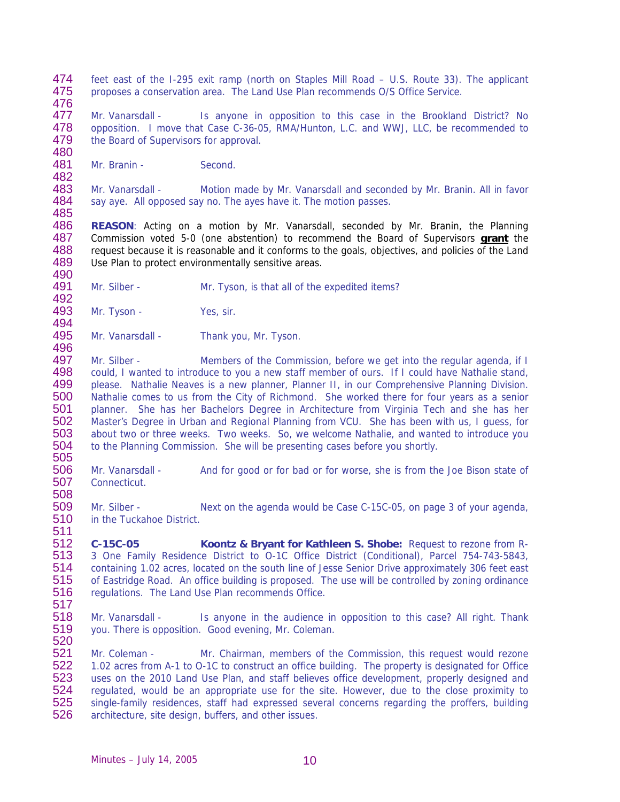- 474 475 feet east of the I-295 exit ramp (north on Staples Mill Road – U.S. Route 33). The applicant proposes a conservation area. The Land Use Plan recommends O/S Office Service.
- 477 478 479 480 Mr. Vanarsdall - Is anyone in opposition to this case in the Brookland District? No opposition. I move that Case C-36-05, RMA/Hunton, L.C. and WWJ, LLC, be recommended to the Board of Supervisors for approval.
- 481 Mr. Branin - Second.

476

482

492

496

483 484 485 Mr. Vanarsdall - Motion made by Mr. Vanarsdall and seconded by Mr. Branin. All in favor say aye. All opposed say no. The ayes have it. The motion passes.

486 **REASON**: Acting on a motion by Mr. Vanarsdall, seconded by Mr. Branin, the Planning Commission voted 5-0 (one abstention) to recommend the Board of Supervisors **grant** the request because it is reasonable and it conforms to the goals, objectives, and policies of the Land Use Plan to protect environmentally sensitive areas. 487 488 489 490

491 Mr. Silber - Mr. Tyson, is that all of the expedited items?

493 494 Mr. Tyson - Yes, sir.

495 Mr. Vanarsdall - Thank you, Mr. Tyson.

497 498 499 500 501 502 503 504 505 Mr. Silber - Members of the Commission, before we get into the regular agenda, if I could, I wanted to introduce to you a new staff member of ours. If I could have Nathalie stand, please. Nathalie Neaves is a new planner, Planner II, in our Comprehensive Planning Division. Nathalie comes to us from the City of Richmond. She worked there for four years as a senior planner. She has her Bachelors Degree in Architecture from Virginia Tech and she has her Master's Degree in Urban and Regional Planning from VCU. She has been with us, I guess, for about two or three weeks. Two weeks. So, we welcome Nathalie, and wanted to introduce you to the Planning Commission. She will be presenting cases before you shortly.

506 507 Mr. Vanarsdall - And for good or for bad or for worse, she is from the Joe Bison state of **Connecticut.** 

509 510 511 Mr. Silber - Next on the agenda would be Case C-15C-05, on page 3 of your agenda, in the Tuckahoe District.

512 513 514 515 516 **C-15C-05 Koontz & Bryant for Kathleen S. Shobe:** Request to rezone from R-3 One Family Residence District to O-1C Office District (Conditional), Parcel 754-743-5843, containing 1.02 acres, located on the south line of Jesse Senior Drive approximately 306 feet east of Eastridge Road. An office building is proposed. The use will be controlled by zoning ordinance regulations. The Land Use Plan recommends Office.

517

508

518 519 Mr. Vanarsdall - Is anyone in the audience in opposition to this case? All right. Thank you. There is opposition. Good evening, Mr. Coleman.

520

521 522 523 524 525 526 Mr. Coleman - Mr. Chairman, members of the Commission, this request would rezone 1.02 acres from A-1 to O-1C to construct an office building. The property is designated for Office uses on the 2010 Land Use Plan, and staff believes office development, properly designed and regulated, would be an appropriate use for the site. However, due to the close proximity to single-family residences, staff had expressed several concerns regarding the proffers, building architecture, site design, buffers, and other issues.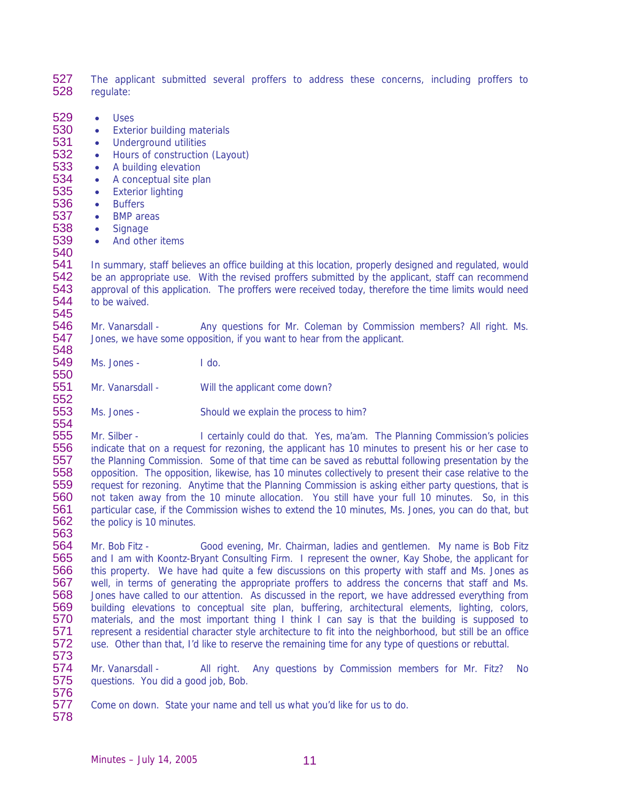527 528 The applicant submitted several proffers to address these concerns, including proffers to regulate:

- 529 • Uses
- 530 • Exterior building materials
- 531 • Underground utilities
- 532 • Hours of construction (Layout)
- 533 • A building elevation
- 534 • A conceptual site plan
- 535 • Exterior lighting
- 536 • Buffers
- 537 • BMP areas
- 538 539 • Signage

540

551 552 • And other items

541 542 543 544 545 In summary, staff believes an office building at this location, properly designed and regulated, would be an appropriate use. With the revised proffers submitted by the applicant, staff can recommend approval of this application. The proffers were received today, therefore the time limits would need to be waived.

546 547 548 Mr. Vanarsdall - Any questions for Mr. Coleman by Commission members? All right. Ms. Jones, we have some opposition, if you want to hear from the applicant.

549 550 Ms. Jones - I do.

Mr. Vanarsdall - Will the applicant come down?

553 554 Ms. Jones - Should we explain the process to him?

555 556 557 558 559 560 561 562 563 Mr. Silber - I certainly could do that. Yes, ma'am. The Planning Commission's policies indicate that on a request for rezoning, the applicant has 10 minutes to present his or her case to the Planning Commission. Some of that time can be saved as rebuttal following presentation by the opposition. The opposition, likewise, has 10 minutes collectively to present their case relative to the request for rezoning. Anytime that the Planning Commission is asking either party questions, that is not taken away from the 10 minute allocation. You still have your full 10 minutes. So, in this particular case, if the Commission wishes to extend the 10 minutes, Ms. Jones, you can do that, but the policy is 10 minutes.

564 565 566 567 568 569 570 571 572 573 Mr. Bob Fitz - Good evening, Mr. Chairman, ladies and gentlemen. My name is Bob Fitz and I am with Koontz-Bryant Consulting Firm. I represent the owner, Kay Shobe, the applicant for this property. We have had quite a few discussions on this property with staff and Ms. Jones as well, in terms of generating the appropriate proffers to address the concerns that staff and Ms. Jones have called to our attention. As discussed in the report, we have addressed everything from building elevations to conceptual site plan, buffering, architectural elements, lighting, colors, materials, and the most important thing I think I can say is that the building is supposed to represent a residential character style architecture to fit into the neighborhood, but still be an office use. Other than that, I'd like to reserve the remaining time for any type of questions or rebuttal.

574 575 576 Mr. Vanarsdall - All right. Any questions by Commission members for Mr. Fitz? No questions. You did a good job, Bob.

577 Come on down. State your name and tell us what you'd like for us to do.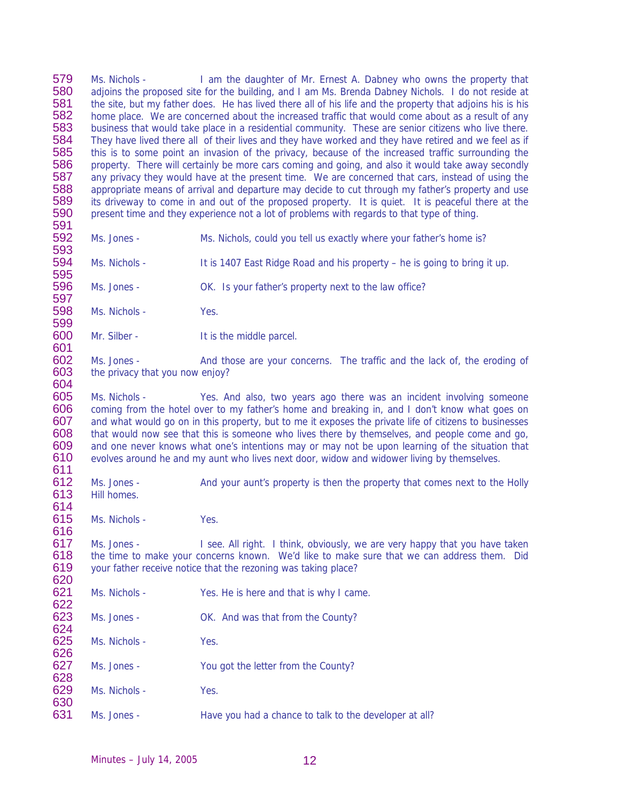579 580 581 582 583 584 585 586 587 588 589 590 591 592 593 594 595 596 597 598 599 600 601 602 603 604 605 606 607 608 609 610 611 612 613 614 615 616 617 618 619 620 621 622 623 624 625 626 627 628 629 630 631 Ms. Nichols - I am the daughter of Mr. Ernest A. Dabney who owns the property that adjoins the proposed site for the building, and I am Ms. Brenda Dabney Nichols. I do not reside at the site, but my father does. He has lived there all of his life and the property that adjoins his is his home place. We are concerned about the increased traffic that would come about as a result of any business that would take place in a residential community. These are senior citizens who live there. They have lived there all of their lives and they have worked and they have retired and we feel as if this is to some point an invasion of the privacy, because of the increased traffic surrounding the property. There will certainly be more cars coming and going, and also it would take away secondly any privacy they would have at the present time. We are concerned that cars, instead of using the appropriate means of arrival and departure may decide to cut through my father's property and use its driveway to come in and out of the proposed property. It is quiet. It is peaceful there at the present time and they experience not a lot of problems with regards to that type of thing. Ms. Jones - Ms. Nichols, could you tell us exactly where your father's home is? Ms. Nichols - It is 1407 East Ridge Road and his property – he is going to bring it up. Ms. Jones - OK. Is your father's property next to the law office? Ms. Nichols - Yes. Mr. Silber - It is the middle parcel. Ms. Jones - And those are your concerns. The traffic and the lack of, the eroding of the privacy that you now enjoy? Ms. Nichols - Yes. And also, two years ago there was an incident involving someone coming from the hotel over to my father's home and breaking in, and I don't know what goes on and what would go on in this property, but to me it exposes the private life of citizens to businesses that would now see that this is someone who lives there by themselves, and people come and go, and one never knows what one's intentions may or may not be upon learning of the situation that evolves around he and my aunt who lives next door, widow and widower living by themselves. Ms. Jones - And your aunt's property is then the property that comes next to the Holly Hill homes. Ms. Nichols - Yes. Ms. Jones - I see. All right. I think, obviously, we are very happy that you have taken the time to make your concerns known. We'd like to make sure that we can address them. Did your father receive notice that the rezoning was taking place? Ms. Nichols - Yes. He is here and that is why I came. Ms. Jones - OK. And was that from the County? Ms. Nichols - Yes. Ms. Jones - You got the letter from the County? Ms. Nichols - Yes. Ms. Jones - Have you had a chance to talk to the developer at all?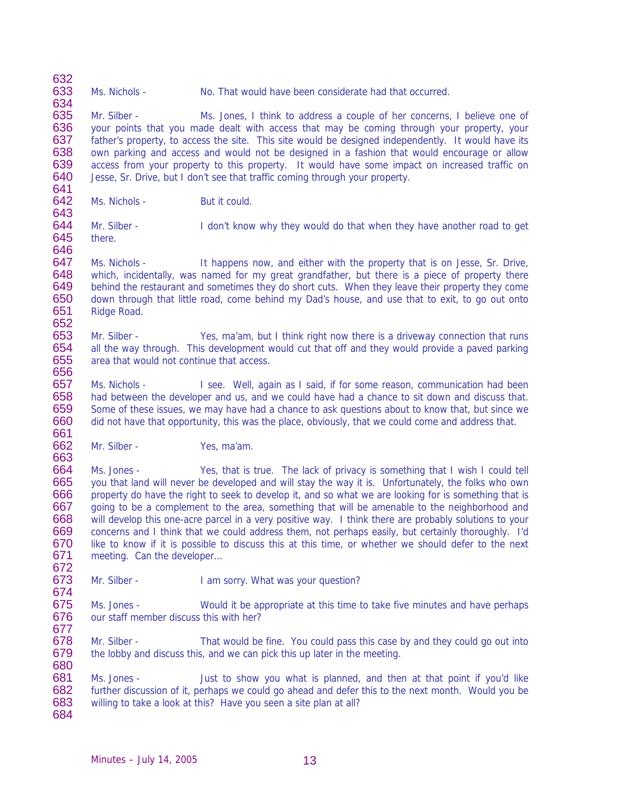633 Ms. Nichols - No. That would have been considerate had that occurred.

635 636 637 638 639 640 641 Mr. Silber - Ms. Jones, I think to address a couple of her concerns, I believe one of your points that you made dealt with access that may be coming through your property, your father's property, to access the site. This site would be designed independently. It would have its own parking and access and would not be designed in a fashion that would encourage or allow access from your property to this property. It would have some impact on increased traffic on Jesse, Sr. Drive, but I don't see that traffic coming through your property.

642 Ms. Nichols - But it could.

632

634

643

656

672

644 645 646 Mr. Silber - I don't know why they would do that when they have another road to get there.

647 648 649 650 651 652 Ms. Nichols - It happens now, and either with the property that is on Jesse, Sr. Drive, which, incidentally, was named for my great grandfather, but there is a piece of property there behind the restaurant and sometimes they do short cuts. When they leave their property they come down through that little road, come behind my Dad's house, and use that to exit, to go out onto Ridge Road.

653 654 655 Mr. Silber - Yes, ma'am, but I think right now there is a driveway connection that runs all the way through. This development would cut that off and they would provide a paved parking area that would not continue that access.

657 658 659 660 661 Ms. Nichols - I see. Well, again as I said, if for some reason, communication had been had between the developer and us, and we could have had a chance to sit down and discuss that. Some of these issues, we may have had a chance to ask questions about to know that, but since we did not have that opportunity, this was the place, obviously, that we could come and address that.

662 663 Mr. Silber - Yes, ma'am.

664 665 666 667 668 669 670 671 Ms. Jones - Yes, that is true. The lack of privacy is something that I wish I could tell you that land will never be developed and will stay the way it is. Unfortunately, the folks who own property do have the right to seek to develop it, and so what we are looking for is something that is going to be a complement to the area, something that will be amenable to the neighborhood and will develop this one-acre parcel in a very positive way. I think there are probably solutions to your concerns and I think that we could address them, not perhaps easily, but certainly thoroughly. I'd like to know if it is possible to discuss this at this time, or whether we should defer to the next meeting. Can the developer…

673 674 Mr. Silber - I am sorry. What was your question?

675 676 677 Ms. Jones - Would it be appropriate at this time to take five minutes and have perhaps our staff member discuss this with her?

678 679 680 Mr. Silber - That would be fine. You could pass this case by and they could go out into the lobby and discuss this, and we can pick this up later in the meeting.

681 682 683 684 Ms. Jones - Just to show you what is planned, and then at that point if you'd like further discussion of it, perhaps we could go ahead and defer this to the next month. Would you be willing to take a look at this? Have you seen a site plan at all?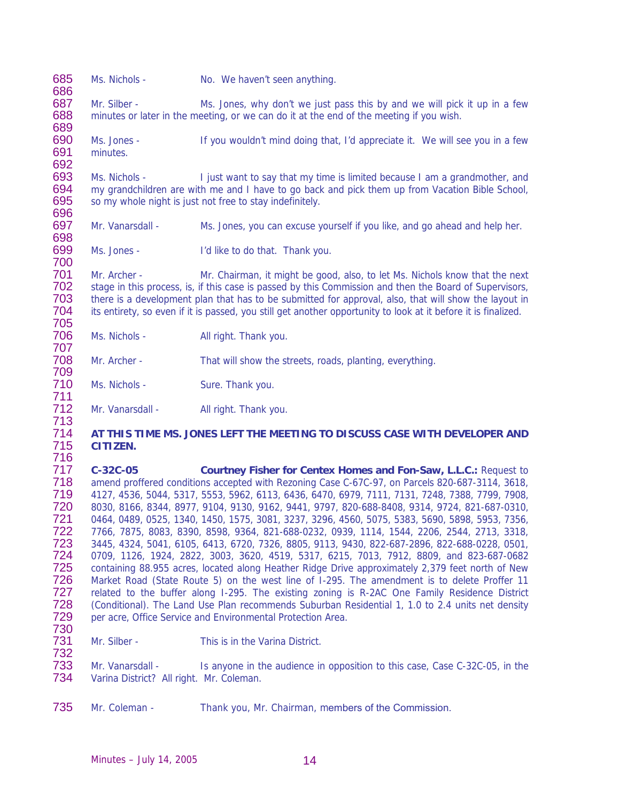685 686 687 688 689 690 691 692 693 694 695 696 697 698 699 700 701 702 703 704 705 706 707 708 709 710 711 712 713 714 715 716 717 718 719 720 721 722 723 724 725 726 727 728 729 730 731 732 733 734 Ms. Nichols - No. We haven't seen anything. Mr. Silber - Ms. Jones, why don't we just pass this by and we will pick it up in a few minutes or later in the meeting, or we can do it at the end of the meeting if you wish. Ms. Jones - If you wouldn't mind doing that, I'd appreciate it. We will see you in a few minutes. Ms. Nichols - I just want to say that my time is limited because I am a grandmother, and my grandchildren are with me and I have to go back and pick them up from Vacation Bible School, so my whole night is just not free to stay indefinitely. Mr. Vanarsdall - Ms. Jones, you can excuse yourself if you like, and go ahead and help her. Ms. Jones - I'd like to do that. Thank you. Mr. Archer - Mr. Chairman, it might be good, also, to let Ms. Nichols know that the next stage in this process, is, if this case is passed by this Commission and then the Board of Supervisors, there is a development plan that has to be submitted for approval, also, that will show the layout in its entirety, so even if it is passed, you still get another opportunity to look at it before it is finalized. Ms. Nichols - All right. Thank you. Mr. Archer - That will show the streets, roads, planting, everything. Ms. Nichols - Sure. Thank you. Mr. Vanarsdall - All right. Thank you. **AT THIS TIME MS. JONES LEFT THE MEETING TO DISCUSS CASE WITH DEVELOPER AND CITIZEN. C-32C-05 Courtney Fisher for Centex Homes and Fon-Saw, L.L.C.:** Request to amend proffered conditions accepted with Rezoning Case C-67C-97, on Parcels 820-687-3114, 3618, 4127, 4536, 5044, 5317, 5553, 5962, 6113, 6436, 6470, 6979, 7111, 7131, 7248, 7388, 7799, 7908, 8030, 8166, 8344, 8977, 9104, 9130, 9162, 9441, 9797, 820-688-8408, 9314, 9724, 821-687-0310, 0464, 0489, 0525, 1340, 1450, 1575, 3081, 3237, 3296, 4560, 5075, 5383, 5690, 5898, 5953, 7356, 7766, 7875, 8083, 8390, 8598, 9364, 821-688-0232, 0939, 1114, 1544, 2206, 2544, 2713, 3318, 3445, 4324, 5041, 6105, 6413, 6720, 7326, 8805, 9113, 9430, 822-687-2896, 822-688-0228, 0501, 0709, 1126, 1924, 2822, 3003, 3620, 4519, 5317, 6215, 7013, 7912, 8809, and 823-687-0682 containing 88.955 acres, located along Heather Ridge Drive approximately 2,379 feet north of New Market Road (State Route 5) on the west line of I-295. The amendment is to delete Proffer 11 related to the buffer along I-295. The existing zoning is R-2AC One Family Residence District (Conditional). The Land Use Plan recommends Suburban Residential 1, 1.0 to 2.4 units net density per acre, Office Service and Environmental Protection Area. Mr. Silber - This is in the Varina District. Mr. Vanarsdall - Is anyone in the audience in opposition to this case, Case C-32C-05, in the Varina District? All right. Mr. Coleman.

735 Mr. Coleman - Thank you, Mr. Chairman, members of the Commission.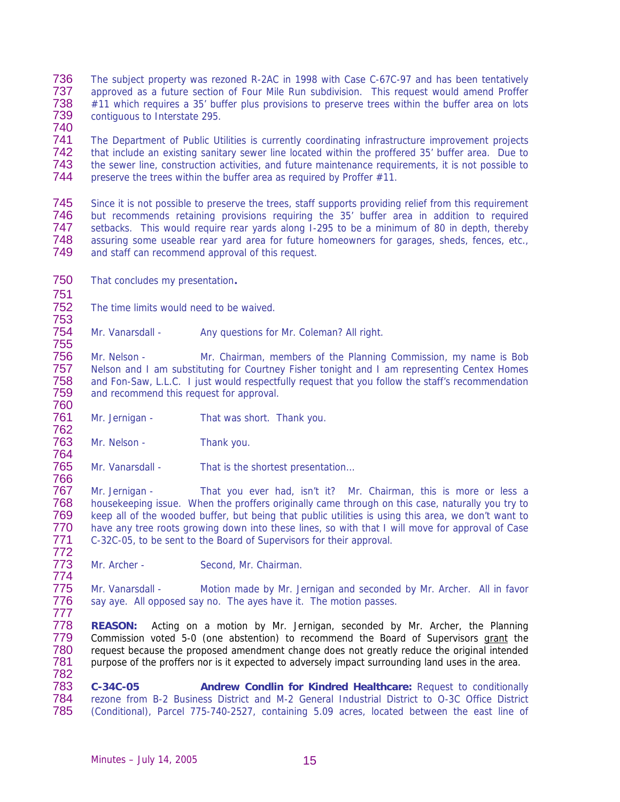- 736 737 738 739 The subject property was rezoned R-2AC in 1998 with Case C-67C-97 and has been tentatively approved as a future section of Four Mile Run subdivision. This request would amend Proffer #11 which requires a 35' buffer plus provisions to preserve trees within the buffer area on lots contiguous to Interstate 295.
- 740

741 742 743 744 The Department of Public Utilities is currently coordinating infrastructure improvement projects that include an existing sanitary sewer line located within the proffered 35' buffer area. Due to the sewer line, construction activities, and future maintenance requirements, it is not possible to preserve the trees within the buffer area as required by Proffer #11.

745 746 747 748 749 Since it is not possible to preserve the trees, staff supports providing relief from this requirement but recommends retaining provisions requiring the 35' buffer area in addition to required setbacks. This would require rear yards along I-295 to be a minimum of 80 in depth, thereby assuring some useable rear yard area for future homeowners for garages, sheds, fences, etc., and staff can recommend approval of this request.

- 750 That concludes my presentation**.**
- 751

755

764

766

752 753 The time limits would need to be waived.

754 Mr. Vanarsdall - Any questions for Mr. Coleman? All right.

756 757 758 759 760 Mr. Nelson - Mr. Chairman, members of the Planning Commission, my name is Bob Nelson and I am substituting for Courtney Fisher tonight and I am representing Centex Homes and Fon-Saw, L.L.C. I just would respectfully request that you follow the staff's recommendation and recommend this request for approval.

761 762 Mr. Jernigan - That was short. Thank you.

763 Mr. Nelson - Thank you.

765 Mr. Vanarsdall - That is the shortest presentation...

767 768 769 770 771 772 Mr. Jernigan - That you ever had, isn't it? Mr. Chairman, this is more or less a housekeeping issue. When the proffers originally came through on this case, naturally you try to keep all of the wooded buffer, but being that public utilities is using this area, we don't want to have any tree roots growing down into these lines, so with that I will move for approval of Case C-32C-05, to be sent to the Board of Supervisors for their approval.

773 774 Mr. Archer - Second, Mr. Chairman.

775 776 777 Mr. Vanarsdall - Motion made by Mr. Jernigan and seconded by Mr. Archer. All in favor say aye. All opposed say no. The ayes have it. The motion passes.

778 **REASON:** Acting on a motion by Mr. Jernigan, seconded by Mr. Archer, the Planning Commission voted 5-0 (one abstention) to recommend the Board of Supervisors grant the request because the proposed amendment change does not greatly reduce the original intended purpose of the proffers nor is it expected to adversely impact surrounding land uses in the area. 779 780 781 782

783 784 785 **C-34C-05 Andrew Condlin for Kindred Healthcare:** Request to conditionally rezone from B-2 Business District and M-2 General Industrial District to O-3C Office District (Conditional), Parcel 775-740-2527, containing 5.09 acres, located between the east line of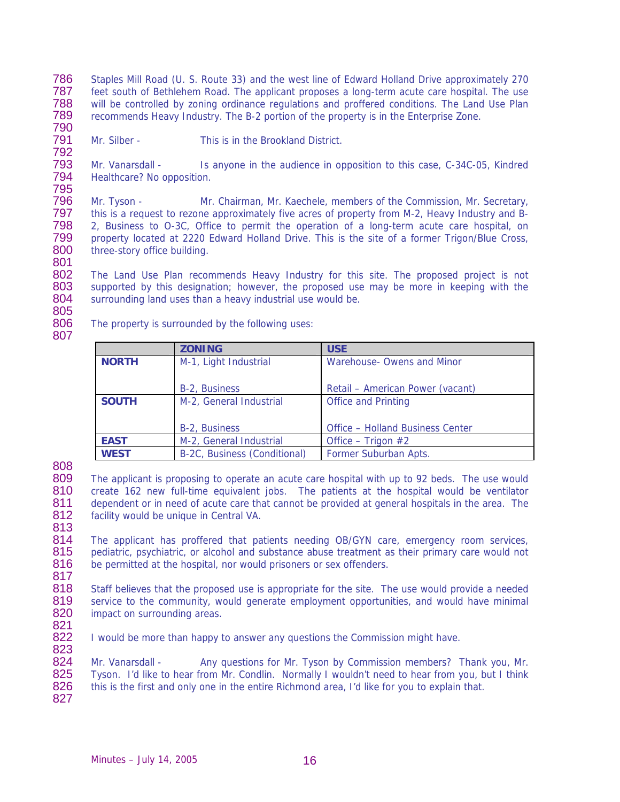786 787 788 789 790 Staples Mill Road (U. S. Route 33) and the west line of Edward Holland Drive approximately 270 feet south of Bethlehem Road. The applicant proposes a long-term acute care hospital. The use will be controlled by zoning ordinance regulations and proffered conditions. The Land Use Plan recommends Heavy Industry. The B-2 portion of the property is in the Enterprise Zone.

791 792 Mr. Silber - This is in the Brookland District.

793 794 795 Mr. Vanarsdall - Is anyone in the audience in opposition to this case, C-34C-05, Kindred Healthcare? No opposition.

796 797 798 799 800 801 Mr. Tyson - Mr. Chairman, Mr. Kaechele, members of the Commission, Mr. Secretary, this is a request to rezone approximately five acres of property from M-2, Heavy Industry and B-2, Business to O-3C, Office to permit the operation of a long-term acute care hospital, on property located at 2220 Edward Holland Drive. This is the site of a former Trigon/Blue Cross, three-story office building.

802 803 804 The Land Use Plan recommends Heavy Industry for this site. The proposed project is not supported by this designation; however, the proposed use may be more in keeping with the surrounding land uses than a heavy industrial use would be.

805 806

807

The property is surrounded by the following uses:

|              | <b>ZONING</b>                | <b>USE</b>                              |
|--------------|------------------------------|-----------------------------------------|
| <b>NORTH</b> | M-1, Light Industrial        | Warehouse- Owens and Minor              |
|              |                              |                                         |
|              | B-2, Business                | Retail - American Power (vacant)        |
| <b>SOUTH</b> | M-2, General Industrial      | <b>Office and Printing</b>              |
|              |                              |                                         |
|              | B-2, Business                | <b>Office - Holland Business Center</b> |
| <b>EAST</b>  | M-2, General Industrial      | Office – Trigon $#2$                    |
| <b>WEST</b>  | B-2C, Business (Conditional) | Former Suburban Apts.                   |

808

809 810 811 812 813 The applicant is proposing to operate an acute care hospital with up to 92 beds. The use would create 162 new full-time equivalent jobs. The patients at the hospital would be ventilator dependent or in need of acute care that cannot be provided at general hospitals in the area. The facility would be unique in Central VA.

814 815 816 817 The applicant has proffered that patients needing OB/GYN care, emergency room services, pediatric, psychiatric, or alcohol and substance abuse treatment as their primary care would not be permitted at the hospital, nor would prisoners or sex offenders.

818 819 820 Staff believes that the proposed use is appropriate for the site. The use would provide a needed service to the community, would generate employment opportunities, and would have minimal impact on surrounding areas.

821

822 823 I would be more than happy to answer any questions the Commission might have.

824 825 826 827 Mr. Vanarsdall - Any questions for Mr. Tyson by Commission members? Thank you, Mr. Tyson. I'd like to hear from Mr. Condlin. Normally I wouldn't need to hear from you, but I think this is the first and only one in the entire Richmond area, I'd like for you to explain that.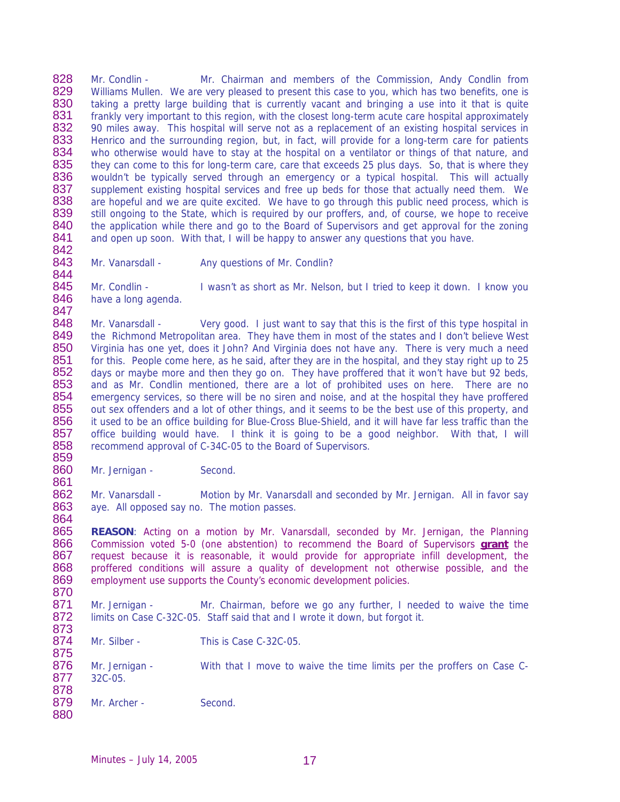828 829 830 831 832 833 834 835 836 837 838 839 840 841 Mr. Condlin - Mr. Chairman and members of the Commission, Andy Condlin from Williams Mullen. We are very pleased to present this case to you, which has two benefits, one is taking a pretty large building that is currently vacant and bringing a use into it that is quite frankly very important to this region, with the closest long-term acute care hospital approximately 90 miles away. This hospital will serve not as a replacement of an existing hospital services in Henrico and the surrounding region, but, in fact, will provide for a long-term care for patients who otherwise would have to stay at the hospital on a ventilator or things of that nature, and they can come to this for long-term care, care that exceeds 25 plus days. So, that is where they wouldn't be typically served through an emergency or a typical hospital. This will actually supplement existing hospital services and free up beds for those that actually need them. We are hopeful and we are quite excited. We have to go through this public need process, which is still ongoing to the State, which is required by our proffers, and, of course, we hope to receive the application while there and go to the Board of Supervisors and get approval for the zoning and open up soon. With that, I will be happy to answer any questions that you have.

842 843 844

861

864

Mr. Vanarsdall - Any questions of Mr. Condlin?

845 846 847 Mr. Condlin - I wasn't as short as Mr. Nelson, but I tried to keep it down. I know you have a long agenda.

848 849 850 851 852 853 854 855 856 857 858 859 Mr. Vanarsdall - Very good. I just want to say that this is the first of this type hospital in the Richmond Metropolitan area. They have them in most of the states and I don't believe West Virginia has one yet, does it John? And Virginia does not have any. There is very much a need for this. People come here, as he said, after they are in the hospital, and they stay right up to 25 days or maybe more and then they go on. They have proffered that it won't have but 92 beds, and as Mr. Condlin mentioned, there are a lot of prohibited uses on here. There are no emergency services, so there will be no siren and noise, and at the hospital they have proffered out sex offenders and a lot of other things, and it seems to be the best use of this property, and it used to be an office building for Blue-Cross Blue-Shield, and it will have far less traffic than the office building would have. I think it is going to be a good neighbor. With that, I will recommend approval of C-34C-05 to the Board of Supervisors.

860 Mr. Jernigan - Second.

862 863 Mr. Vanarsdall - Motion by Mr. Vanarsdall and seconded by Mr. Jernigan. All in favor say aye. All opposed say no. The motion passes.

865 **REASON**: Acting on a motion by Mr. Vanarsdall, seconded by Mr. Jernigan, the Planning Commission voted 5-0 (one abstention) to recommend the Board of Supervisors **grant** the request because it is reasonable, it would provide for appropriate infill development, the proffered conditions will assure a quality of development not otherwise possible, and the employment use supports the County's economic development policies. 866 867 868 869 870

871 872 873 Mr. Jernigan - Mr. Chairman, before we go any further, I needed to waive the time limits on Case C-32C-05. Staff said that and I wrote it down, but forgot it.

874 875 Mr. Silber - This is Case C-32C-05.

876 877 878 Mr. Jernigan - With that I move to waive the time limits per the proffers on Case C-32C-05.

879 880 Mr. Archer - Second.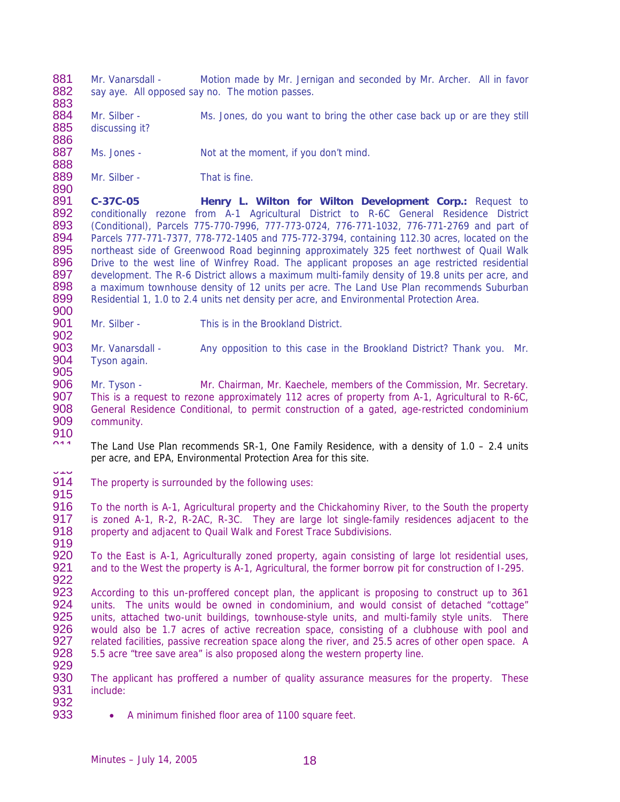881 882 883 884 885 886 887 888 889 890 891 892 893 894 895 896 897 898 899 900 901 902 903 904 905 906 907 908 909 910  $011$ 913 914 915 916 917 918 919 920 921 922 923 924 925 926 927 928 929 930 931 932 933 Mr. Vanarsdall - Motion made by Mr. Jernigan and seconded by Mr. Archer. All in favor say aye. All opposed say no. The motion passes. Mr. Silber - Ms. Jones, do you want to bring the other case back up or are they still discussing it? Ms. Jones - Not at the moment, if you don't mind. Mr. Silber - That is fine. **C-37C-05 Henry L. Wilton for Wilton Development Corp.:** Request to conditionally rezone from A-1 Agricultural District to R-6C General Residence District (Conditional), Parcels 775-770-7996, 777-773-0724, 776-771-1032, 776-771-2769 and part of Parcels 777-771-7377, 778-772-1405 and 775-772-3794, containing 112.30 acres, located on the northeast side of Greenwood Road beginning approximately 325 feet northwest of Quail Walk Drive to the west line of Winfrey Road. The applicant proposes an age restricted residential development. The R-6 District allows a maximum multi-family density of 19.8 units per acre, and a maximum townhouse density of 12 units per acre. The Land Use Plan recommends Suburban Residential 1, 1.0 to 2.4 units net density per acre, and Environmental Protection Area. Mr. Silber - This is in the Brookland District. Mr. Vanarsdall - Any opposition to this case in the Brookland District? Thank you. Mr. Tyson again. Mr. Tyson - Mr. Chairman, Mr. Kaechele, members of the Commission, Mr. Secretary. This is a request to rezone approximately 112 acres of property from A-1, Agricultural to R-6C, General Residence Conditional, to permit construction of a gated, age-restricted condominium community. The Land Use Plan recommends SR-1, One Family Residence, with a density of 1.0 – 2.4 units per acre, and EPA, Environmental Protection Area for this site. The property is surrounded by the following uses: To the north is A-1, Agricultural property and the Chickahominy River, to the South the property is zoned A-1, R-2, R-2AC, R-3C. They are large lot single-family residences adjacent to the property and adjacent to Quail Walk and Forest Trace Subdivisions. To the East is A-1, Agriculturally zoned property, again consisting of large lot residential uses, and to the West the property is A-1, Agricultural, the former borrow pit for construction of I-295. According to this un-proffered concept plan, the applicant is proposing to construct up to 361 units. The units would be owned in condominium, and would consist of detached "cottage" units, attached two-unit buildings, townhouse-style units, and multi-family style units. There would also be 1.7 acres of active recreation space, consisting of a clubhouse with pool and related facilities, passive recreation space along the river, and 25.5 acres of other open space. A 5.5 acre "tree save area" is also proposed along the western property line. The applicant has proffered a number of quality assurance measures for the property. These include: • A minimum finished floor area of 1100 square feet.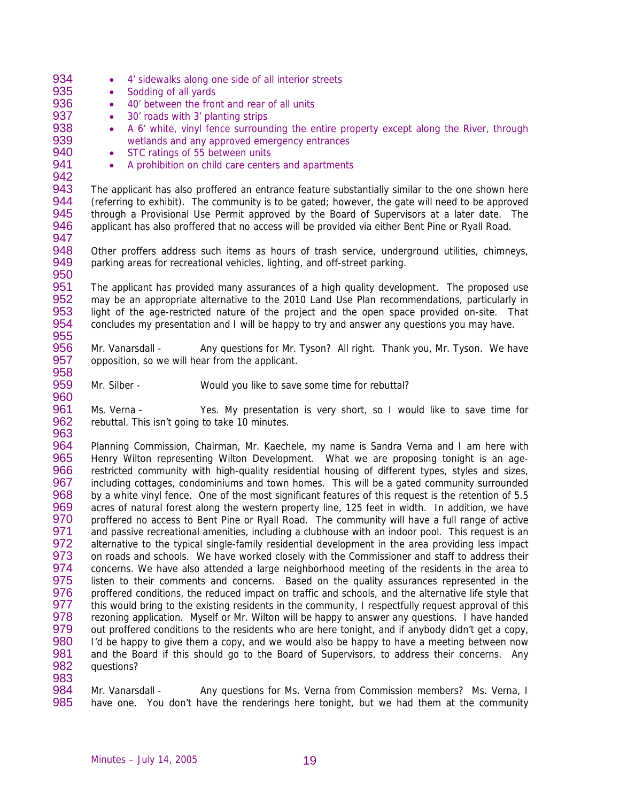- 934 935 936 937 938 939 940 941 942 943 944 945 946 947 948 949 950 951 952 953 954 955 956 957 958 959 960 961 962 963 964 965 966 967 968 969 970 971 972 973 974 975 976 977 978 979 980 981 982 983 • 4' sidewalks along one side of all interior streets • Sodding of all yards • 40' between the front and rear of all units • 30' roads with 3' planting strips • A 6' white, vinyl fence surrounding the entire property except along the River, through wetlands and any approved emergency entrances • STC ratings of 55 between units • A prohibition on child care centers and apartments The applicant has also proffered an entrance feature substantially similar to the one shown here (referring to exhibit). The community is to be gated; however, the gate will need to be approved through a Provisional Use Permit approved by the Board of Supervisors at a later date. The applicant has also proffered that no access will be provided via either Bent Pine or Ryall Road. Other proffers address such items as hours of trash service, underground utilities, chimneys, parking areas for recreational vehicles, lighting, and off-street parking. The applicant has provided many assurances of a high quality development. The proposed use may be an appropriate alternative to the 2010 Land Use Plan recommendations, particularly in light of the age-restricted nature of the project and the open space provided on-site. That concludes my presentation and I will be happy to try and answer any questions you may have. Mr. Vanarsdall - Any questions for Mr. Tyson? All right. Thank you, Mr. Tyson. We have opposition, so we will hear from the applicant. Mr. Silber - Would you like to save some time for rebuttal? Ms. Verna - Yes. My presentation is very short, so I would like to save time for rebuttal. This isn't going to take 10 minutes. Planning Commission, Chairman, Mr. Kaechele, my name is Sandra Verna and I am here with Henry Wilton representing Wilton Development. What we are proposing tonight is an agerestricted community with high-quality residential housing of different types, styles and sizes, including cottages, condominiums and town homes. This will be a gated community surrounded by a white vinyl fence. One of the most significant features of this request is the retention of 5.5 acres of natural forest along the western property line, 125 feet in width. In addition, we have proffered no access to Bent Pine or Ryall Road. The community will have a full range of active and passive recreational amenities, including a clubhouse with an indoor pool. This request is an alternative to the typical single-family residential development in the area providing less impact on roads and schools. We have worked closely with the Commissioner and staff to address their concerns. We have also attended a large neighborhood meeting of the residents in the area to listen to their comments and concerns. Based on the quality assurances represented in the proffered conditions, the reduced impact on traffic and schools, and the alternative life style that this would bring to the existing residents in the community, I respectfully request approval of this rezoning application. Myself or Mr. Wilton will be happy to answer any questions. I have handed out proffered conditions to the residents who are here tonight, and if anybody didn't get a copy, I'd be happy to give them a copy, and we would also be happy to have a meeting between now and the Board if this should go to the Board of Supervisors, to address their concerns. Any questions?
- 984 985 Mr. Vanarsdall - Any questions for Ms. Verna from Commission members? Ms. Verna, I have one. You don't have the renderings here tonight, but we had them at the community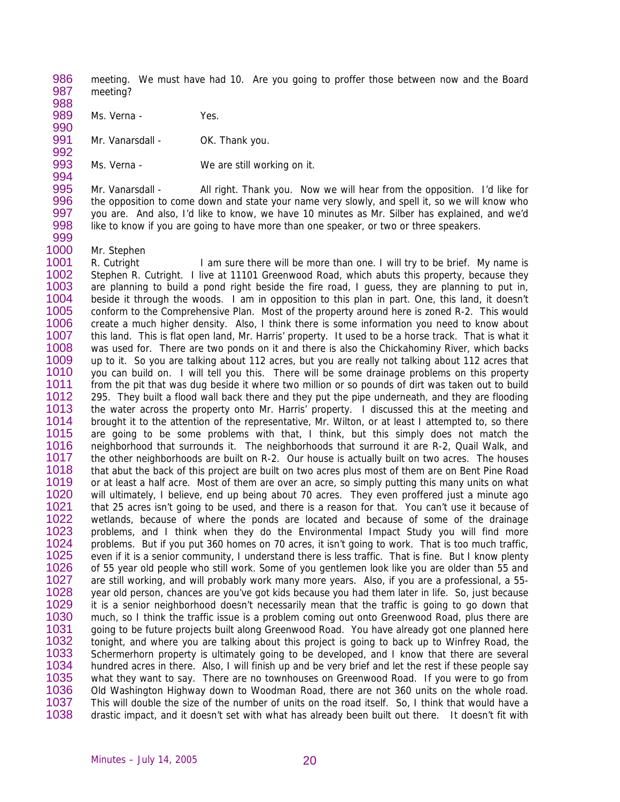986 987 meeting. We must have had 10. Are you going to proffer those between now and the Board meeting?

988 989

990 Ms. Verna - Yes.

991 992 Mr. Vanarsdall - OK. Thank you.

993 Ms. Verna - We are still working on it.

995 996 997 998 Mr. Vanarsdall - All right. Thank you. Now we will hear from the opposition. I'd like for the opposition to come down and state your name very slowly, and spell it, so we will know who you are. And also, I'd like to know, we have 10 minutes as Mr. Silber has explained, and we'd like to know if you are going to have more than one speaker, or two or three speakers.

999

994

1000 Mr. Stephen

1001 1002 1003 1004 1005 1006 1007 1008 1009 1010 1011 1012 1013 1014 1015 1016 1017 1018 1019 1020 1021 1022 1023 1024 1025 1026 1027 1028 1029 1030 1031 1032 1033 1034 1035 1036 1037 1038 R. Cutright I am sure there will be more than one. I will try to be brief. My name is Stephen R. Cutright. I live at 11101 Greenwood Road, which abuts this property, because they are planning to build a pond right beside the fire road, I guess, they are planning to put in, beside it through the woods. I am in opposition to this plan in part. One, this land, it doesn't conform to the Comprehensive Plan. Most of the property around here is zoned R-2. This would create a much higher density. Also, I think there is some information you need to know about this land. This is flat open land, Mr. Harris' property. It used to be a horse track. That is what it was used for. There are two ponds on it and there is also the Chickahominy River, which backs up to it. So you are talking about 112 acres, but you are really not talking about 112 acres that you can build on. I will tell you this. There will be some drainage problems on this property from the pit that was dug beside it where two million or so pounds of dirt was taken out to build 295. They built a flood wall back there and they put the pipe underneath, and they are flooding the water across the property onto Mr. Harris' property. I discussed this at the meeting and brought it to the attention of the representative, Mr. Wilton, or at least I attempted to, so there are going to be some problems with that, I think, but this simply does not match the neighborhood that surrounds it. The neighborhoods that surround it are R-2, Quail Walk, and the other neighborhoods are built on R-2. Our house is actually built on two acres. The houses that abut the back of this project are built on two acres plus most of them are on Bent Pine Road or at least a half acre. Most of them are over an acre, so simply putting this many units on what will ultimately, I believe, end up being about 70 acres. They even proffered just a minute ago that 25 acres isn't going to be used, and there is a reason for that. You can't use it because of wetlands, because of where the ponds are located and because of some of the drainage problems, and I think when they do the Environmental Impact Study you will find more problems. But if you put 360 homes on 70 acres, it isn't going to work. That is too much traffic, even if it is a senior community, I understand there is less traffic. That is fine. But I know plenty of 55 year old people who still work. Some of you gentlemen look like you are older than 55 and are still working, and will probably work many more years. Also, if you are a professional, a 55 year old person, chances are you've got kids because you had them later in life. So, just because it is a senior neighborhood doesn't necessarily mean that the traffic is going to go down that much, so I think the traffic issue is a problem coming out onto Greenwood Road, plus there are going to be future projects built along Greenwood Road. You have already got one planned here tonight, and where you are talking about this project is going to back up to Winfrey Road, the Schermerhorn property is ultimately going to be developed, and I know that there are several hundred acres in there. Also, I will finish up and be very brief and let the rest if these people say what they want to say. There are no townhouses on Greenwood Road. If you were to go from Old Washington Highway down to Woodman Road, there are not 360 units on the whole road. This will double the size of the number of units on the road itself. So, I think that would have a drastic impact, and it doesn't set with what has already been built out there. It doesn't fit with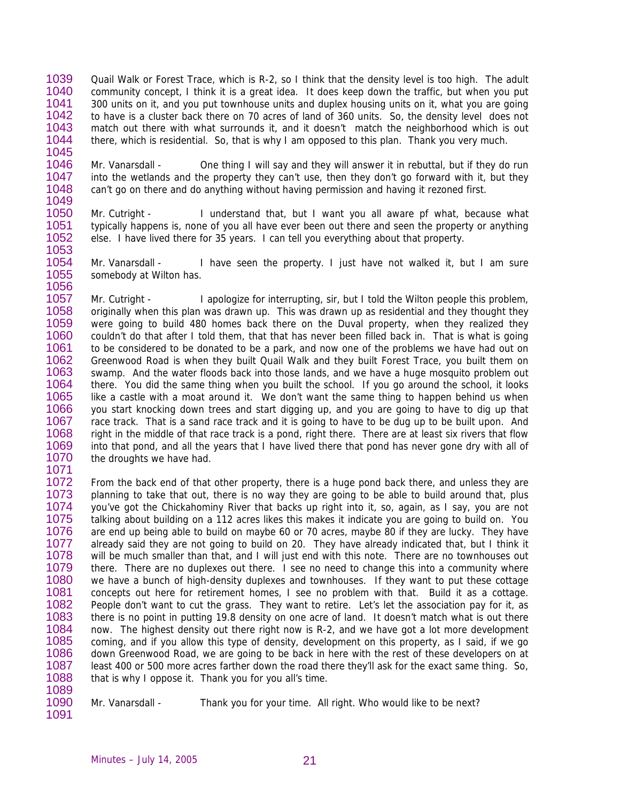- 1039 1040 1041 1042 1043 1044 1045 Quail Walk or Forest Trace, which is R-2, so I think that the density level is too high. The adult community concept, I think it is a great idea. It does keep down the traffic, but when you put 300 units on it, and you put townhouse units and duplex housing units on it, what you are going to have is a cluster back there on 70 acres of land of 360 units. So, the density level does not match out there with what surrounds it, and it doesn't match the neighborhood which is out there, which is residential. So, that is why I am opposed to this plan. Thank you very much.
- 1046 1047 1048 1049 Mr. Vanarsdall - One thing I will say and they will answer it in rebuttal, but if they do run into the wetlands and the property they can't use, then they don't go forward with it, but they can't go on there and do anything without having permission and having it rezoned first.
- 1050 1051 1052 1053 Mr. Cutright - I understand that, but I want you all aware pf what, because what typically happens is, none of you all have ever been out there and seen the property or anything else. I have lived there for 35 years. I can tell you everything about that property.
- 1054 1055 1056 Mr. Vanarsdall - I have seen the property. I just have not walked it, but I am sure somebody at Wilton has.
- 1057 1058 1059 1060 1061 1062 1063 1064 1065 1066 1067 1068 1069 1070 1071 Mr. Cutright - I apologize for interrupting, sir, but I told the Wilton people this problem, originally when this plan was drawn up. This was drawn up as residential and they thought they were going to build 480 homes back there on the Duval property, when they realized they couldn't do that after I told them, that that has never been filled back in. That is what is going to be considered to be donated to be a park, and now one of the problems we have had out on Greenwood Road is when they built Quail Walk and they built Forest Trace, you built them on swamp. And the water floods back into those lands, and we have a huge mosquito problem out there. You did the same thing when you built the school. If you go around the school, it looks like a castle with a moat around it. We don't want the same thing to happen behind us when you start knocking down trees and start digging up, and you are going to have to dig up that race track. That is a sand race track and it is going to have to be dug up to be built upon. And right in the middle of that race track is a pond, right there. There are at least six rivers that flow into that pond, and all the years that I have lived there that pond has never gone dry with all of the droughts we have had.
- 1072 1073 1074 1075 1076 1077 1078 1079 1080 1081 1082 1083 1084 1085 1086 1087 1088 From the back end of that other property, there is a huge pond back there, and unless they are planning to take that out, there is no way they are going to be able to build around that, plus you've got the Chickahominy River that backs up right into it, so, again, as I say, you are not talking about building on a 112 acres likes this makes it indicate you are going to build on. You are end up being able to build on maybe 60 or 70 acres, maybe 80 if they are lucky. They have already said they are not going to build on 20. They have already indicated that, but I think it will be much smaller than that, and I will just end with this note. There are no townhouses out there. There are no duplexes out there. I see no need to change this into a community where we have a bunch of high-density duplexes and townhouses. If they want to put these cottage concepts out here for retirement homes, I see no problem with that. Build it as a cottage. People don't want to cut the grass. They want to retire. Let's let the association pay for it, as there is no point in putting 19.8 density on one acre of land. It doesn't match what is out there now. The highest density out there right now is R-2, and we have got a lot more development coming, and if you allow this type of density, development on this property, as I said, if we go down Greenwood Road, we are going to be back in here with the rest of these developers on at least 400 or 500 more acres farther down the road there they'll ask for the exact same thing. So, that is why I oppose it. Thank you for you all's time.
- 1089 1090

1091

Mr. Vanarsdall - Thank you for your time. All right. Who would like to be next?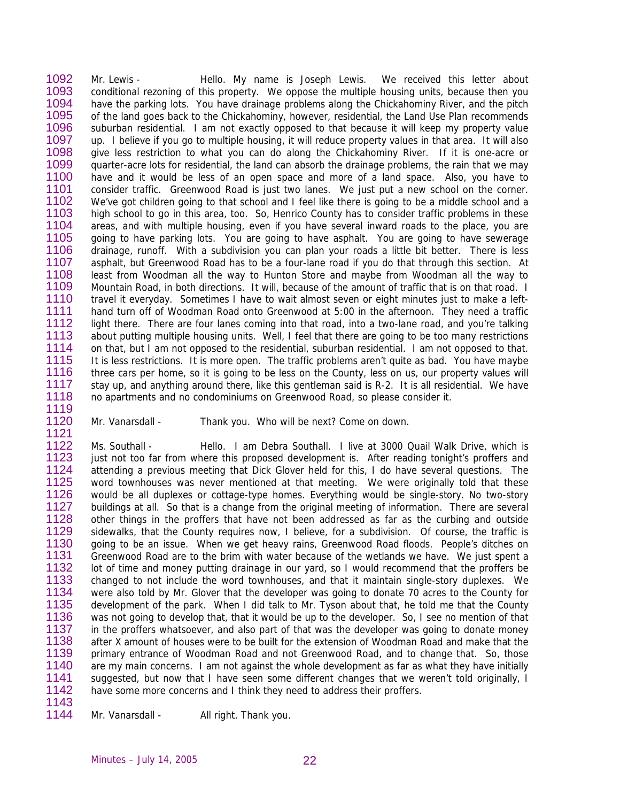1092 1093 1094 1095 1096 1097 1098 1099 1100 1101 1102 1103 1104 1105 1106 1107 1108 1109 1110 1111 1112 1113 1114 1115 1116 1117 1118 Mr. Lewis - Thello. My name is Joseph Lewis. We received this letter about conditional rezoning of this property. We oppose the multiple housing units, because then you have the parking lots. You have drainage problems along the Chickahominy River, and the pitch of the land goes back to the Chickahominy, however, residential, the Land Use Plan recommends suburban residential. I am not exactly opposed to that because it will keep my property value up. I believe if you go to multiple housing, it will reduce property values in that area. It will also give less restriction to what you can do along the Chickahominy River. If it is one-acre or quarter-acre lots for residential, the land can absorb the drainage problems, the rain that we may have and it would be less of an open space and more of a land space. Also, you have to consider traffic. Greenwood Road is just two lanes. We just put a new school on the corner. We've got children going to that school and I feel like there is going to be a middle school and a high school to go in this area, too. So, Henrico County has to consider traffic problems in these areas, and with multiple housing, even if you have several inward roads to the place, you are going to have parking lots. You are going to have asphalt. You are going to have sewerage drainage, runoff. With a subdivision you can plan your roads a little bit better. There is less asphalt, but Greenwood Road has to be a four-lane road if you do that through this section. At least from Woodman all the way to Hunton Store and maybe from Woodman all the way to Mountain Road, in both directions. It will, because of the amount of traffic that is on that road. I travel it everyday. Sometimes I have to wait almost seven or eight minutes just to make a lefthand turn off of Woodman Road onto Greenwood at 5:00 in the afternoon. They need a traffic light there. There are four lanes coming into that road, into a two-lane road, and you're talking about putting multiple housing units. Well, I feel that there are going to be too many restrictions on that, but I am not opposed to the residential, suburban residential. I am not opposed to that. It is less restrictions. It is more open. The traffic problems aren't quite as bad. You have maybe three cars per home, so it is going to be less on the County, less on us, our property values will stay up, and anything around there, like this gentleman said is R-2. It is all residential. We have no apartments and no condominiums on Greenwood Road, so please consider it.

- 1119
- 1120 1121

Mr. Vanarsdall - Thank you. Who will be next? Come on down.

1122 1123 1124 1125 1126 1127 1128 1129 1130 1131 1132 1133 1134 1135 1136 1137 1138 1139 1140 1141 1142 1143 Ms. Southall - Hello. I am Debra Southall. I live at 3000 Quail Walk Drive, which is just not too far from where this proposed development is. After reading tonight's proffers and attending a previous meeting that Dick Glover held for this, I do have several questions. The word townhouses was never mentioned at that meeting. We were originally told that these would be all duplexes or cottage-type homes. Everything would be single-story. No two-story buildings at all. So that is a change from the original meeting of information. There are several other things in the proffers that have not been addressed as far as the curbing and outside sidewalks, that the County requires now, I believe, for a subdivision. Of course, the traffic is going to be an issue. When we get heavy rains, Greenwood Road floods. People's ditches on Greenwood Road are to the brim with water because of the wetlands we have. We just spent a lot of time and money putting drainage in our yard, so I would recommend that the proffers be changed to not include the word townhouses, and that it maintain single-story duplexes. We were also told by Mr. Glover that the developer was going to donate 70 acres to the County for development of the park. When I did talk to Mr. Tyson about that, he told me that the County was not going to develop that, that it would be up to the developer. So, I see no mention of that in the proffers whatsoever, and also part of that was the developer was going to donate money after X amount of houses were to be built for the extension of Woodman Road and make that the primary entrance of Woodman Road and not Greenwood Road, and to change that. So, those are my main concerns. I am not against the whole development as far as what they have initially suggested, but now that I have seen some different changes that we weren't told originally, I have some more concerns and I think they need to address their proffers.

1144 Mr. Vanarsdall - All right. Thank you.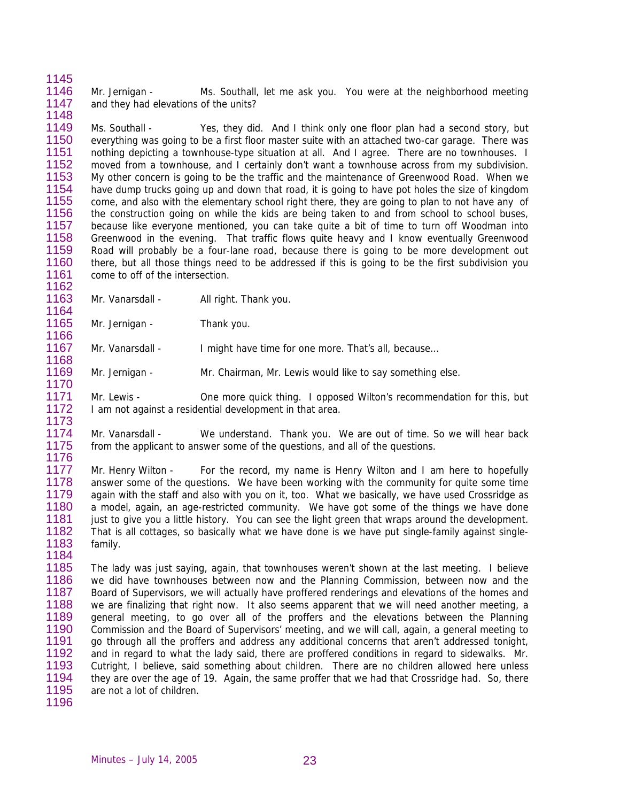1146 1147 Mr. Jernigan - Ms. Southall, let me ask you. You were at the neighborhood meeting and they had elevations of the units?

1149 1150 1151 1152 1153 1154 1155 1156 1157 1158 1159 1160 1161 Ms. Southall - Yes, they did. And I think only one floor plan had a second story, but everything was going to be a first floor master suite with an attached two-car garage. There was nothing depicting a townhouse-type situation at all. And I agree. There are no townhouses. I moved from a townhouse, and I certainly don't want a townhouse across from my subdivision. My other concern is going to be the traffic and the maintenance of Greenwood Road. When we have dump trucks going up and down that road, it is going to have pot holes the size of kingdom come, and also with the elementary school right there, they are going to plan to not have any of the construction going on while the kids are being taken to and from school to school buses, because like everyone mentioned, you can take quite a bit of time to turn off Woodman into Greenwood in the evening. That traffic flows quite heavy and I know eventually Greenwood Road will probably be a four-lane road, because there is going to be more development out there, but all those things need to be addressed if this is going to be the first subdivision you come to off of the intersection.

1163 Mr. Vanarsdall - All right. Thank you.

1165 1166 Mr. Jernigan - Thank you.

1167 Mr. Vanarsdall - I might have time for one more. That's all, because...

1169 1170 Mr. Jernigan - Mr. Chairman, Mr. Lewis would like to say something else.

1171 1172 1173 Mr. Lewis - One more quick thing. I opposed Wilton's recommendation for this, but I am not against a residential development in that area.

1174 1175 1176 Mr. Vanarsdall - We understand. Thank you. We are out of time. So we will hear back from the applicant to answer some of the questions, and all of the questions.

1177 1178 1179 1180 1181 1182 1183 Mr. Henry Wilton - For the record, my name is Henry Wilton and I am here to hopefully answer some of the questions. We have been working with the community for quite some time again with the staff and also with you on it, too. What we basically, we have used Crossridge as a model, again, an age-restricted community. We have got some of the things we have done just to give you a little history. You can see the light green that wraps around the development. That is all cottages, so basically what we have done is we have put single-family against singlefamily.

1185 1186 1187 1188 1189 1190 1191 1192 1193 1194 1195 The lady was just saying, again, that townhouses weren't shown at the last meeting. I believe we did have townhouses between now and the Planning Commission, between now and the Board of Supervisors, we will actually have proffered renderings and elevations of the homes and we are finalizing that right now. It also seems apparent that we will need another meeting, a general meeting, to go over all of the proffers and the elevations between the Planning Commission and the Board of Supervisors' meeting, and we will call, again, a general meeting to go through all the proffers and address any additional concerns that aren't addressed tonight, and in regard to what the lady said, there are proffered conditions in regard to sidewalks. Mr. Cutright, I believe, said something about children. There are no children allowed here unless they are over the age of 19. Again, the same proffer that we had that Crossridge had. So, there are not a lot of children.

1196

1184

1145

1148

1162

1164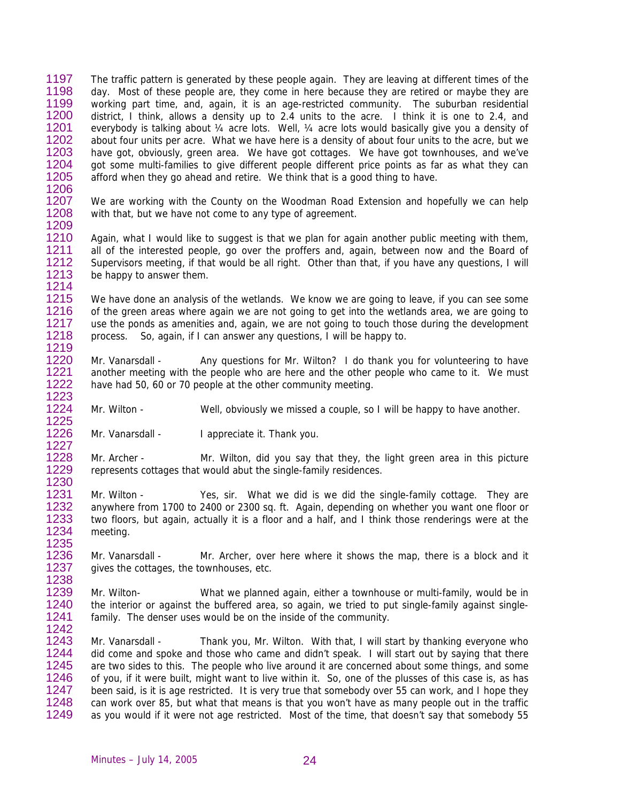1197 1198 1199 1200 1201 1202 1203 1204 1205 The traffic pattern is generated by these people again. They are leaving at different times of the day. Most of these people are, they come in here because they are retired or maybe they are working part time, and, again, it is an age-restricted community. The suburban residential district, I think, allows a density up to 2.4 units to the acre. I think it is one to 2.4, and everybody is talking about 1/4 acre lots. Well, 1/4 acre lots would basically give you a density of about four units per acre. What we have here is a density of about four units to the acre, but we have got, obviously, green area. We have got cottages. We have got townhouses, and we've got some multi-families to give different people different price points as far as what they can afford when they go ahead and retire. We think that is a good thing to have.

1207 1208 1209 We are working with the County on the Woodman Road Extension and hopefully we can help with that, but we have not come to any type of agreement.

1210 1211 1212 1213 Again, what I would like to suggest is that we plan for again another public meeting with them, all of the interested people, go over the proffers and, again, between now and the Board of Supervisors meeting, if that would be all right. Other than that, if you have any questions, I will be happy to answer them.

1215 1216 1217 1218 1219 We have done an analysis of the wetlands. We know we are going to leave, if you can see some of the green areas where again we are not going to get into the wetlands area, we are going to use the ponds as amenities and, again, we are not going to touch those during the development process. So, again, if I can answer any questions, I will be happy to.

- 1220 1221 1222 1223 Mr. Vanarsdall - Any questions for Mr. Wilton? I do thank you for volunteering to have another meeting with the people who are here and the other people who came to it. We must have had 50, 60 or 70 people at the other community meeting.
- 1224 1225 Mr. Wilton - Well, obviously we missed a couple, so I will be happy to have another.
- 1226 1227 Mr. Vanarsdall - I appreciate it. Thank you.

1206

1214

1230

1235

1228 1229 Mr. Archer - Mr. Wilton, did you say that they, the light green area in this picture represents cottages that would abut the single-family residences.

- 1231 1232 1233 1234 Mr. Wilton - Yes, sir. What we did is we did the single-family cottage. They are anywhere from 1700 to 2400 or 2300 sq. ft. Again, depending on whether you want one floor or two floors, but again, actually it is a floor and a half, and I think those renderings were at the meeting.
- 1236 1237 1238 Mr. Vanarsdall - Mr. Archer, over here where it shows the map, there is a block and it gives the cottages, the townhouses, etc.

1239 1240 1241 1242 Mr. Wilton- What we planned again, either a townhouse or multi-family, would be in the interior or against the buffered area, so again, we tried to put single-family against singlefamily. The denser uses would be on the inside of the community.

1243 1244 1245 1246 1247 1248 1249 Mr. Vanarsdall - Thank you, Mr. Wilton. With that, I will start by thanking everyone who did come and spoke and those who came and didn't speak. I will start out by saying that there are two sides to this. The people who live around it are concerned about some things, and some of you, if it were built, might want to live within it. So, one of the plusses of this case is, as has been said, is it is age restricted. It is very true that somebody over 55 can work, and I hope they can work over 85, but what that means is that you won't have as many people out in the traffic as you would if it were not age restricted. Most of the time, that doesn't say that somebody 55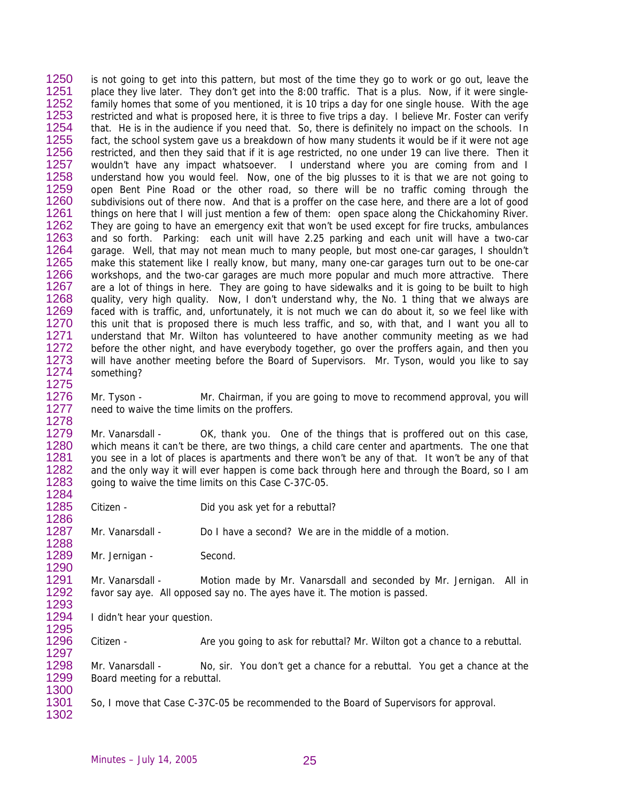1250 1251 1252 1253 1254 1255 1256 1257 1258 1259 1260 1261 1262 1263 1264 1265 1266 1267 1268 1269 1270 1271 1272 1273 1274 1275 is not going to get into this pattern, but most of the time they go to work or go out, leave the place they live later. They don't get into the 8:00 traffic. That is a plus. Now, if it were singlefamily homes that some of you mentioned, it is 10 trips a day for one single house. With the age restricted and what is proposed here, it is three to five trips a day. I believe Mr. Foster can verify that. He is in the audience if you need that. So, there is definitely no impact on the schools. In fact, the school system gave us a breakdown of how many students it would be if it were not age restricted, and then they said that if it is age restricted, no one under 19 can live there. Then it wouldn't have any impact whatsoever. I understand where you are coming from and I understand how you would feel. Now, one of the big plusses to it is that we are not going to open Bent Pine Road or the other road, so there will be no traffic coming through the subdivisions out of there now. And that is a proffer on the case here, and there are a lot of good things on here that I will just mention a few of them: open space along the Chickahominy River. They are going to have an emergency exit that won't be used except for fire trucks, ambulances and so forth. Parking: each unit will have 2.25 parking and each unit will have a two-car garage. Well, that may not mean much to many people, but most one-car garages, I shouldn't make this statement like I really know, but many, many one-car garages turn out to be one-car workshops, and the two-car garages are much more popular and much more attractive. There are a lot of things in here. They are going to have sidewalks and it is going to be built to high quality, very high quality. Now, I don't understand why, the No. 1 thing that we always are faced with is traffic, and, unfortunately, it is not much we can do about it, so we feel like with this unit that is proposed there is much less traffic, and so, with that, and I want you all to understand that Mr. Wilton has volunteered to have another community meeting as we had before the other night, and have everybody together, go over the proffers again, and then you will have another meeting before the Board of Supervisors. Mr. Tyson, would you like to say something?

1276 1277 1278 Mr. Tyson - Mr. Chairman, if you are going to move to recommend approval, you will need to waive the time limits on the proffers.

1279 1280 1281 1282 1283 Mr. Vanarsdall - OK, thank you. One of the things that is proffered out on this case, which means it can't be there, are two things, a child care center and apartments. The one that you see in a lot of places is apartments and there won't be any of that. It won't be any of that and the only way it will ever happen is come back through here and through the Board, so I am going to waive the time limits on this Case C-37C-05.

1285 Citizen - Did you ask yet for a rebuttal?

1287 Mr. Vanarsdall - Do I have a second? We are in the middle of a motion.

1289 1290 Mr. Jernigan - Second.

1291 1292 Mr. Vanarsdall - Motion made by Mr. Vanarsdall and seconded by Mr. Jernigan. All in favor say aye. All opposed say no. The ayes have it. The motion is passed.

1294 1295 I didn't hear your question.

1296 1297 Citizen - Are you going to ask for rebuttal? Mr. Wilton got a chance to a rebuttal.

1298 1299 Mr. Vanarsdall - No, sir. You don't get a chance for a rebuttal. You get a chance at the Board meeting for a rebuttal.

1301 So, I move that Case C-37C-05 be recommended to the Board of Supervisors for approval.

1302

1300

1284

1286

1288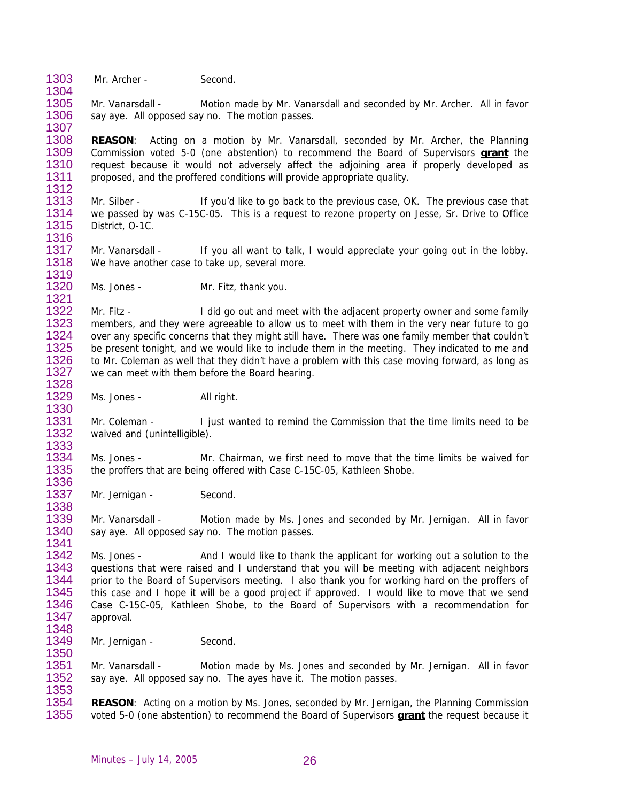1303 1304 Mr. Archer - Second.

1312

1336

1338

1341

1305 1306 1307 Mr. Vanarsdall - Motion made by Mr. Vanarsdall and seconded by Mr. Archer. All in favor say aye. All opposed say no. The motion passes.

1308 **REASON**: Acting on a motion by Mr. Vanarsdall, seconded by Mr. Archer, the Planning Commission voted 5-0 (one abstention) to recommend the Board of Supervisors **grant** the request because it would not adversely affect the adjoining area if properly developed as proposed, and the proffered conditions will provide appropriate quality. 1309 1310 1311

1313 1314 1315 1316 Mr. Silber - If you'd like to go back to the previous case, OK. The previous case that we passed by was C-15C-05. This is a request to rezone property on Jesse, Sr. Drive to Office District, O-1C.

1317 1318 1319 Mr. Vanarsdall - If you all want to talk, I would appreciate your going out in the lobby. We have another case to take up, several more.

1320 1321 Ms. Jones - Mr. Fitz, thank you.

1322 1323 1324 1325 1326 1327 1328 Mr. Fitz - I did go out and meet with the adjacent property owner and some family members, and they were agreeable to allow us to meet with them in the very near future to go over any specific concerns that they might still have. There was one family member that couldn't be present tonight, and we would like to include them in the meeting. They indicated to me and to Mr. Coleman as well that they didn't have a problem with this case moving forward, as long as we can meet with them before the Board hearing.

1329 1330 Ms. Jones - All right.

1331 1332 1333 Mr. Coleman - I just wanted to remind the Commission that the time limits need to be waived and (unintelligible).

1334 1335 Ms. Jones - Mr. Chairman, we first need to move that the time limits be waived for the proffers that are being offered with Case C-15C-05, Kathleen Shobe.

1337 Mr. Jernigan - Second.

1339 1340 Mr. Vanarsdall - Motion made by Ms. Jones and seconded by Mr. Jernigan. All in favor say aye. All opposed say no. The motion passes.

1342 1343 1344 1345 1346 1347 1348 Ms. Jones - And I would like to thank the applicant for working out a solution to the questions that were raised and I understand that you will be meeting with adjacent neighbors prior to the Board of Supervisors meeting. I also thank you for working hard on the proffers of this case and I hope it will be a good project if approved. I would like to move that we send Case C-15C-05, Kathleen Shobe, to the Board of Supervisors with a recommendation for approval.

1349 1350 Mr. Jernigan - Second.

1351 1352 1353 Mr. Vanarsdall - Motion made by Ms. Jones and seconded by Mr. Jernigan. All in favor say aye. All opposed say no. The ayes have it. The motion passes.

1354<br>1355 **REASON**: Acting on a motion by Ms. Jones, seconded by Mr. Jernigan, the Planning Commission 1355 voted 5-0 (one abstention) to recommend the Board of Supervisors **grant** the request because it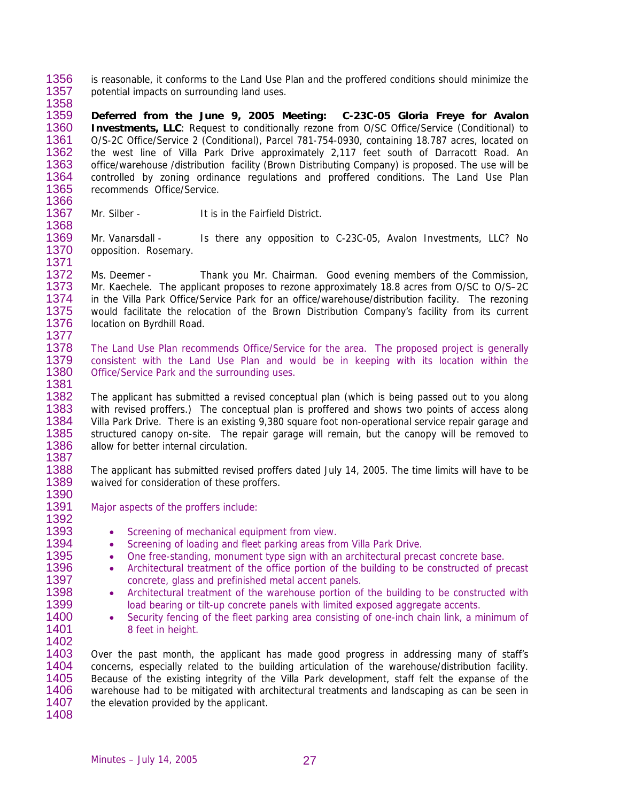1356 1357 1358 is reasonable, it conforms to the Land Use Plan and the proffered conditions should minimize the potential impacts on surrounding land uses.

1359 1360 1361 1362 1363 1364 1365 **Deferred from the June 9, 2005 Meeting: C-23C-05 Gloria Freye for Avalon Investments, LLC**: Request to conditionally rezone from O/SC Office/Service (Conditional) to O/S-2C Office/Service 2 (Conditional), Parcel 781-754-0930, containing 18.787 acres, located on the west line of Villa Park Drive approximately 2,117 feet south of Darracott Road. An office/warehouse /distribution facility (Brown Distributing Company) is proposed. The use will be controlled by zoning ordinance regulations and proffered conditions. The Land Use Plan recommends Office/Service.

- 1367 Mr. Silber - **It is in the Fairfield District.**
- 1369 1370 1371 Mr. Vanarsdall - Is there any opposition to C-23C-05, Avalon Investments, LLC? No opposition. Rosemary.

1372 1373 1374 1375 1376 1377 Ms. Deemer - Thank you Mr. Chairman. Good evening members of the Commission, Mr. Kaechele. The applicant proposes to rezone approximately 18.8 acres from O/SC to O/S–2C in the Villa Park Office/Service Park for an office/warehouse/distribution facility. The rezoning would facilitate the relocation of the Brown Distribution Company's facility from its current location on Byrdhill Road.

1378 1379 1380 1381 The Land Use Plan recommends Office/Service for the area. The proposed project is generally consistent with the Land Use Plan and would be in keeping with its location within the Office/Service Park and the surrounding uses.

1382 1383 1384 1385 1386 1387 The applicant has submitted a revised conceptual plan (which is being passed out to you along with revised proffers.) The conceptual plan is proffered and shows two points of access along Villa Park Drive. There is an existing 9,380 square foot non-operational service repair garage and structured canopy on-site. The repair garage will remain, but the canopy will be removed to allow for better internal circulation.

1388 1389 The applicant has submitted revised proffers dated July 14, 2005. The time limits will have to be waived for consideration of these proffers.

Major aspects of the proffers include:

- Screening of mechanical equipment from view.
- Screening of loading and fleet parking areas from Villa Park Drive.
- One free-standing, monument type sign with an architectural precast concrete base.
- Architectural treatment of the office portion of the building to be constructed of precast concrete, glass and prefinished metal accent panels.
- Architectural treatment of the warehouse portion of the building to be constructed with load bearing or tilt-up concrete panels with limited exposed aggregate accents.
- Security fencing of the fleet parking area consisting of one-inch chain link, a minimum of 8 feet in height.

1403 1404 1405 1406 1407 Over the past month, the applicant has made good progress in addressing many of staff's concerns, especially related to the building articulation of the warehouse/distribution facility. Because of the existing integrity of the Villa Park development, staff felt the expanse of the warehouse had to be mitigated with architectural treatments and landscaping as can be seen in the elevation provided by the applicant.

1366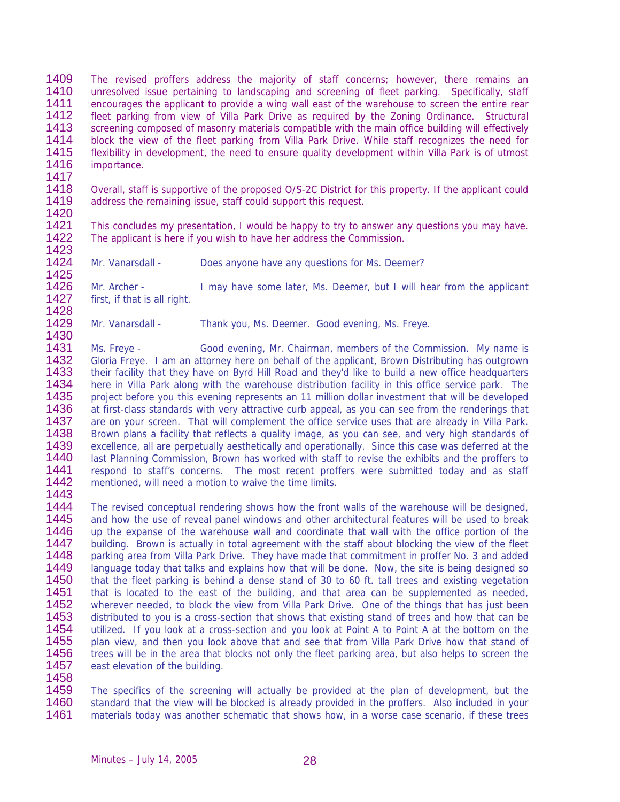1409 1410 1411 1412 1413 1414 1415 1416 The revised proffers address the majority of staff concerns; however, there remains an unresolved issue pertaining to landscaping and screening of fleet parking. Specifically, staff encourages the applicant to provide a wing wall east of the warehouse to screen the entire rear fleet parking from view of Villa Park Drive as required by the Zoning Ordinance. Structural screening composed of masonry materials compatible with the main office building will effectively block the view of the fleet parking from Villa Park Drive. While staff recognizes the need for flexibility in development, the need to ensure quality development within Villa Park is of utmost importance.

1418 1419 1420 Overall, staff is supportive of the proposed O/S-2C District for this property. If the applicant could address the remaining issue, staff could support this request.

1421 1422 This concludes my presentation, I would be happy to try to answer any questions you may have. The applicant is here if you wish to have her address the Commission.

1423 1424

1417

1425 Mr. Vanarsdall - Does anyone have any questions for Ms. Deemer?

1426 1427 1428 Mr. Archer - I may have some later, Ms. Deemer, but I will hear from the applicant first, if that is all right.

1429 1430 Mr. Vanarsdall - Thank you, Ms. Deemer. Good evening, Ms. Freye.

1431 1432 1433 1434 1435 1436 1437 1438 1439 1440 1441 1442 1443 Ms. Freye - Good evening, Mr. Chairman, members of the Commission. My name is Gloria Freye. I am an attorney here on behalf of the applicant, Brown Distributing has outgrown their facility that they have on Byrd Hill Road and they'd like to build a new office headquarters here in Villa Park along with the warehouse distribution facility in this office service park. The project before you this evening represents an 11 million dollar investment that will be developed at first-class standards with very attractive curb appeal, as you can see from the renderings that are on your screen. That will complement the office service uses that are already in Villa Park. Brown plans a facility that reflects a quality image, as you can see, and very high standards of excellence, all are perpetually aesthetically and operationally. Since this case was deferred at the last Planning Commission, Brown has worked with staff to revise the exhibits and the proffers to respond to staff's concerns. The most recent proffers were submitted today and as staff mentioned, will need a motion to waive the time limits.

1444 1445 1446 1447 1448 1449 The revised conceptual rendering shows how the front walls of the warehouse will be designed, and how the use of reveal panel windows and other architectural features will be used to break up the expanse of the warehouse wall and coordinate that wall with the office portion of the building. Brown is actually in total agreement with the staff about blocking the view of the fleet

1450 1451 1452 1453 1454 1455 1456 1457 parking area from Villa Park Drive. They have made that commitment in proffer No. 3 and added language today that talks and explains how that will be done. Now, the site is being designed so that the fleet parking is behind a dense stand of 30 to 60 ft. tall trees and existing vegetation that is located to the east of the building, and that area can be supplemented as needed, wherever needed, to block the view from Villa Park Drive. One of the things that has just been distributed to you is a cross-section that shows that existing stand of trees and how that can be utilized. If you look at a cross-section and you look at Point A to Point A at the bottom on the plan view, and then you look above that and see that from Villa Park Drive how that stand of trees will be in the area that blocks not only the fleet parking area, but also helps to screen the east elevation of the building.

1458

1459 1460 1461 The specifics of the screening will actually be provided at the plan of development, but the standard that the view will be blocked is already provided in the proffers. Also included in your materials today was another schematic that shows how, in a worse case scenario, if these trees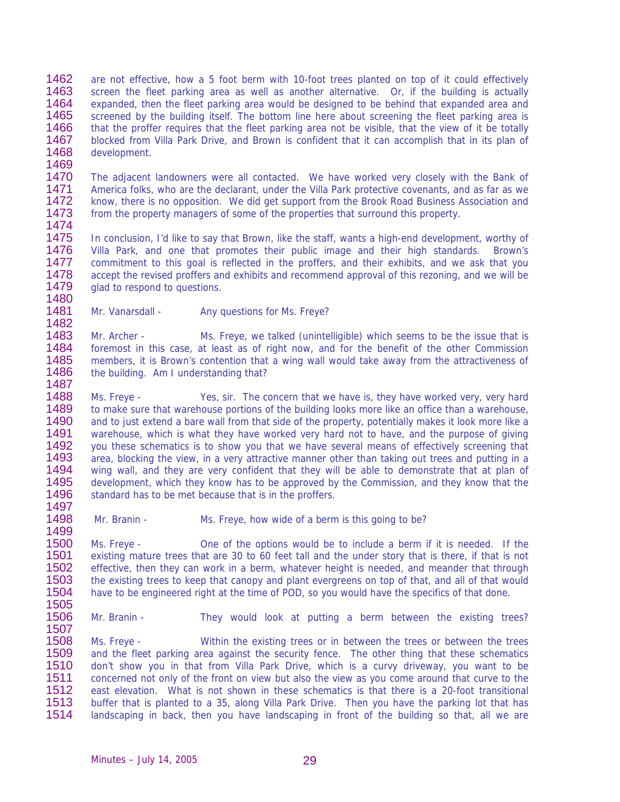1462 1463 1464 1465 1466 1467 1468 are not effective, how a 5 foot berm with 10-foot trees planted on top of it could effectively screen the fleet parking area as well as another alternative. Or, if the building is actually expanded, then the fleet parking area would be designed to be behind that expanded area and screened by the building itself. The bottom line here about screening the fleet parking area is that the proffer requires that the fleet parking area not be visible, that the view of it be totally blocked from Villa Park Drive, and Brown is confident that it can accomplish that in its plan of development.

1470 1471 1472 1473 The adjacent landowners were all contacted. We have worked very closely with the Bank of America folks, who are the declarant, under the Villa Park protective covenants, and as far as we know, there is no opposition. We did get support from the Brook Road Business Association and from the property managers of some of the properties that surround this property.

1474

1469

1475 1476 1477 1478 1479 1480 In conclusion, I'd like to say that Brown, like the staff, wants a high-end development, worthy of Villa Park, and one that promotes their public image and their high standards. Brown's commitment to this goal is reflected in the proffers, and their exhibits, and we ask that you accept the revised proffers and exhibits and recommend approval of this rezoning, and we will be glad to respond to questions.

1481 1482 Mr. Vanarsdall - Any questions for Ms. Freye?

1483 1484 1485 1486 1487 Mr. Archer - Ms. Freye, we talked (unintelligible) which seems to be the issue that is foremost in this case, at least as of right now, and for the benefit of the other Commission members, it is Brown's contention that a wing wall would take away from the attractiveness of the building. Am I understanding that?

1488 1489 1490 1491 1492 1493 1494 1495 1496 1497 Ms. Freye - Yes, sir. The concern that we have is, they have worked very, very hard to make sure that warehouse portions of the building looks more like an office than a warehouse, and to just extend a bare wall from that side of the property, potentially makes it look more like a warehouse, which is what they have worked very hard not to have, and the purpose of giving you these schematics is to show you that we have several means of effectively screening that area, blocking the view, in a very attractive manner other than taking out trees and putting in a wing wall, and they are very confident that they will be able to demonstrate that at plan of development, which they know has to be approved by the Commission, and they know that the standard has to be met because that is in the proffers.

1498 1499 Mr. Branin - Ms. Freye, how wide of a berm is this going to be?

1500 1501 1502 1503 1504 Ms. Freye - One of the options would be to include a berm if it is needed. If the existing mature trees that are 30 to 60 feet tall and the under story that is there, if that is not effective, then they can work in a berm, whatever height is needed, and meander that through the existing trees to keep that canopy and plant evergreens on top of that, and all of that would have to be engineered right at the time of POD, so you would have the specifics of that done.

1505 1506 1507

Mr. Branin - They would look at putting a berm between the existing trees?

1508 1509 1510 1511 1512 1513 1514 Ms. Freye - Within the existing trees or in between the trees or between the trees and the fleet parking area against the security fence. The other thing that these schematics don't show you in that from Villa Park Drive, which is a curvy driveway, you want to be concerned not only of the front on view but also the view as you come around that curve to the east elevation. What is not shown in these schematics is that there is a 20-foot transitional buffer that is planted to a 35, along Villa Park Drive. Then you have the parking lot that has landscaping in back, then you have landscaping in front of the building so that, all we are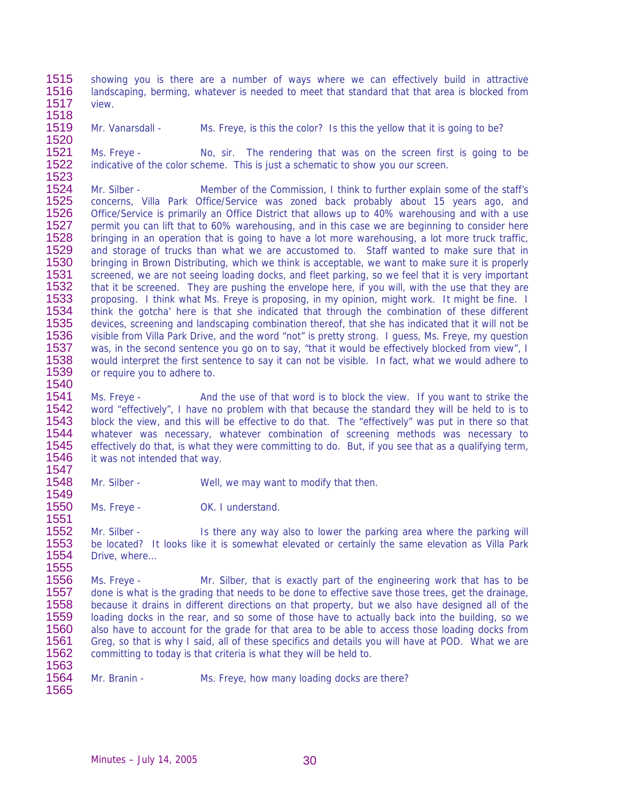1515 1516 1517 showing you is there are a number of ways where we can effectively build in attractive landscaping, berming, whatever is needed to meet that standard that that area is blocked from view.

- 1518
- 1519

1549

1520 Mr. Vanarsdall - Mrs. Freye, is this the color? Is this the yellow that it is going to be?

1521 1522 1523 Ms. Freye - No, sir. The rendering that was on the screen first is going to be indicative of the color scheme. This is just a schematic to show you our screen.

1524 1525 1526 1527 1528 1529 1530 1531 1532 1533 1534 1535 1536 1537 1538 1539 1540 Mr. Silber - Member of the Commission, I think to further explain some of the staff's concerns, Villa Park Office/Service was zoned back probably about 15 years ago, and Office/Service is primarily an Office District that allows up to 40% warehousing and with a use permit you can lift that to 60% warehousing, and in this case we are beginning to consider here bringing in an operation that is going to have a lot more warehousing, a lot more truck traffic, and storage of trucks than what we are accustomed to. Staff wanted to make sure that in bringing in Brown Distributing, which we think is acceptable, we want to make sure it is properly screened, we are not seeing loading docks, and fleet parking, so we feel that it is very important that it be screened. They are pushing the envelope here, if you will, with the use that they are proposing. I think what Ms. Freye is proposing, in my opinion, might work. It might be fine. I think the gotcha' here is that she indicated that through the combination of these different devices, screening and landscaping combination thereof, that she has indicated that it will not be visible from Villa Park Drive, and the word "not" is pretty strong. I guess, Ms. Freye, my question was, in the second sentence you go on to say, "that it would be effectively blocked from view", I would interpret the first sentence to say it can not be visible. In fact, what we would adhere to or require you to adhere to.

1541 1542 1543 1544 1545 1546 1547 Ms. Freye - And the use of that word is to block the view. If you want to strike the word "effectively", I have no problem with that because the standard they will be held to is to block the view, and this will be effective to do that. The "effectively" was put in there so that whatever was necessary, whatever combination of screening methods was necessary to effectively do that, is what they were committing to do. But, if you see that as a qualifying term, it was not intended that way.

1548 Mr. Silber - Well, we may want to modify that then.

1550 1551 Ms. Freye - OK. I understand.

1552 1553 1554 1555 Mr. Silber - Is there any way also to lower the parking area where the parking will be located? It looks like it is somewhat elevated or certainly the same elevation as Villa Park Drive, where…

1556 1557 1558 1559 1560 1561 1562 1563 Ms. Freye - Mr. Silber, that is exactly part of the engineering work that has to be done is what is the grading that needs to be done to effective save those trees, get the drainage, because it drains in different directions on that property, but we also have designed all of the loading docks in the rear, and so some of those have to actually back into the building, so we also have to account for the grade for that area to be able to access those loading docks from Greg, so that is why I said, all of these specifics and details you will have at POD. What we are committing to today is that criteria is what they will be held to.

1564 1565 Mr. Branin - Ms. Freye, how many loading docks are there?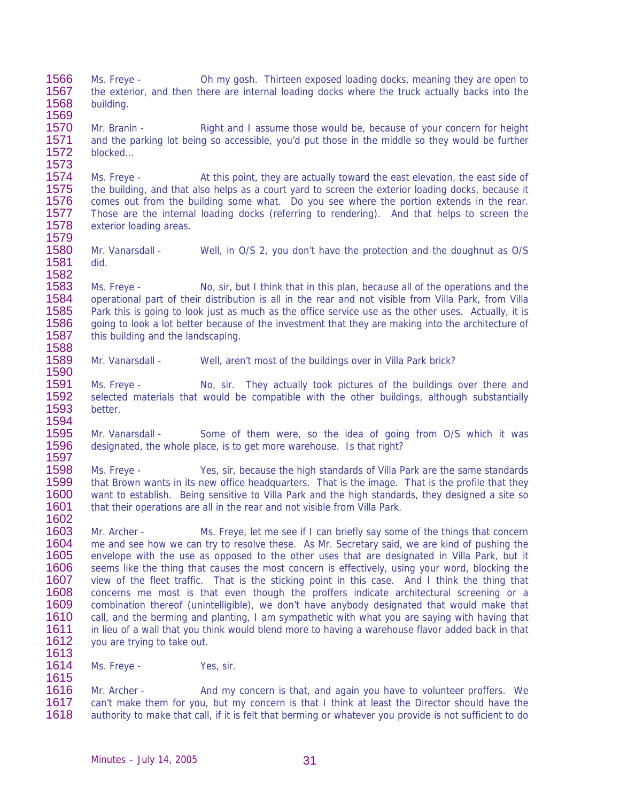1566 1567 1568 Ms. Freye - Oh my gosh. Thirteen exposed loading docks, meaning they are open to the exterior, and then there are internal loading docks where the truck actually backs into the building.

1570 1571 1572 1573 Mr. Branin - Right and I assume those would be, because of your concern for height and the parking lot being so accessible, you'd put those in the middle so they would be further blocked…

1574 1575 1576 1577 1578 1579 Ms. Freye - At this point, they are actually toward the east elevation, the east side of the building, and that also helps as a court yard to screen the exterior loading docks, because it comes out from the building some what. Do you see where the portion extends in the rear. Those are the internal loading docks (referring to rendering). And that helps to screen the exterior loading areas.

1580 1581 1582 Mr. Vanarsdall - Well, in O/S 2, you don't have the protection and the doughnut as O/S did.

1583 1584 1585 1586 1587 1588 Ms. Freye - No, sir, but I think that in this plan, because all of the operations and the operational part of their distribution is all in the rear and not visible from Villa Park, from Villa Park this is going to look just as much as the office service use as the other uses. Actually, it is going to look a lot better because of the investment that they are making into the architecture of this building and the landscaping.

1589 1590 Mr. Vanarsdall - Well, aren't most of the buildings over in Villa Park brick?

1591 1592 1593 1594 Ms. Freye - No, sir. They actually took pictures of the buildings over there and selected materials that would be compatible with the other buildings, although substantially better.

1595 1596 1597 Mr. Vanarsdall - Some of them were, so the idea of going from O/S which it was designated, the whole place, is to get more warehouse. Is that right?

1598 1599 1600 1601 1602 Ms. Freye - Yes, sir, because the high standards of Villa Park are the same standards that Brown wants in its new office headquarters. That is the image. That is the profile that they want to establish. Being sensitive to Villa Park and the high standards, they designed a site so that their operations are all in the rear and not visible from Villa Park.

1603 1604 1605 1606 1607 1608 1609 1610 1611 1612 1613 Mr. Archer - Ms. Freye, let me see if I can briefly say some of the things that concern me and see how we can try to resolve these. As Mr. Secretary said, we are kind of pushing the envelope with the use as opposed to the other uses that are designated in Villa Park, but it seems like the thing that causes the most concern is effectively, using your word, blocking the view of the fleet traffic. That is the sticking point in this case. And I think the thing that concerns me most is that even though the proffers indicate architectural screening or a combination thereof (unintelligible), we don't have anybody designated that would make that call, and the berming and planting, I am sympathetic with what you are saying with having that in lieu of a wall that you think would blend more to having a warehouse flavor added back in that you are trying to take out.

1614 1615 Ms. Freye - Yes, sir.

1569

1616 1617 1618 Mr. Archer - And my concern is that, and again you have to volunteer proffers. We can't make them for you, but my concern is that I think at least the Director should have the authority to make that call, if it is felt that berming or whatever you provide is not sufficient to do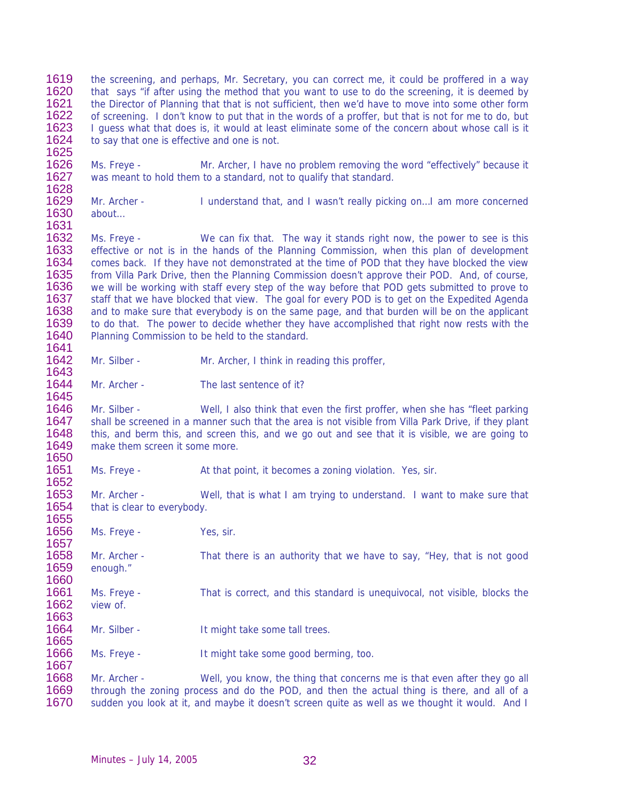1619 1620 1621 1622 1623 1624 1625 the screening, and perhaps, Mr. Secretary, you can correct me, it could be proffered in a way that says "if after using the method that you want to use to do the screening, it is deemed by the Director of Planning that that is not sufficient, then we'd have to move into some other form of screening. I don't know to put that in the words of a proffer, but that is not for me to do, but I guess what that does is, it would at least eliminate some of the concern about whose call is it to say that one is effective and one is not.

1626 1627 1628 Ms. Freye - Mr. Archer, I have no problem removing the word "effectively" because it was meant to hold them to a standard, not to qualify that standard.

1629 1630 1631 Mr. Archer - I understand that, and I wasn't really picking on…I am more concerned about…

1632 1633 1634 1635 1636 1637 1638 1639 1640 1641 Ms. Freye - We can fix that. The way it stands right now, the power to see is this effective or not is in the hands of the Planning Commission, when this plan of development comes back. If they have not demonstrated at the time of POD that they have blocked the view from Villa Park Drive, then the Planning Commission doesn't approve their POD. And, of course, we will be working with staff every step of the way before that POD gets submitted to prove to staff that we have blocked that view. The goal for every POD is to get on the Expedited Agenda and to make sure that everybody is on the same page, and that burden will be on the applicant to do that. The power to decide whether they have accomplished that right now rests with the Planning Commission to be held to the standard.

1642 1643 Mr. Silber - Mr. Archer, I think in reading this proffer,

1644 1645 Mr. Archer - The last sentence of it?

1646 1647 1648 1649 1650 Mr. Silber - Well, I also think that even the first proffer, when she has "fleet parking shall be screened in a manner such that the area is not visible from Villa Park Drive, if they plant this, and berm this, and screen this, and we go out and see that it is visible, we are going to make them screen it some more.

1651 Ms. Freye - At that point, it becomes a zoning violation. Yes, sir.

1653 1654 1655 Mr. Archer - Well, that is what I am trying to understand. I want to make sure that that is clear to everybody.

1656 Ms. Freye - Yes, sir.

1652

1657

1660

1663

1667

1658 1659 Mr. Archer - That there is an authority that we have to say, "Hey, that is not good enough."

1661 1662 Ms. Freye - That is correct, and this standard is unequivocal, not visible, blocks the view of.

1664 1665 Mr. Silber - It might take some tall trees.

1666 Ms. Freye - It might take some good berming, too.

1668 1669 1670 Mr. Archer - Well, you know, the thing that concerns me is that even after they go all through the zoning process and do the POD, and then the actual thing is there, and all of a sudden you look at it, and maybe it doesn't screen quite as well as we thought it would. And I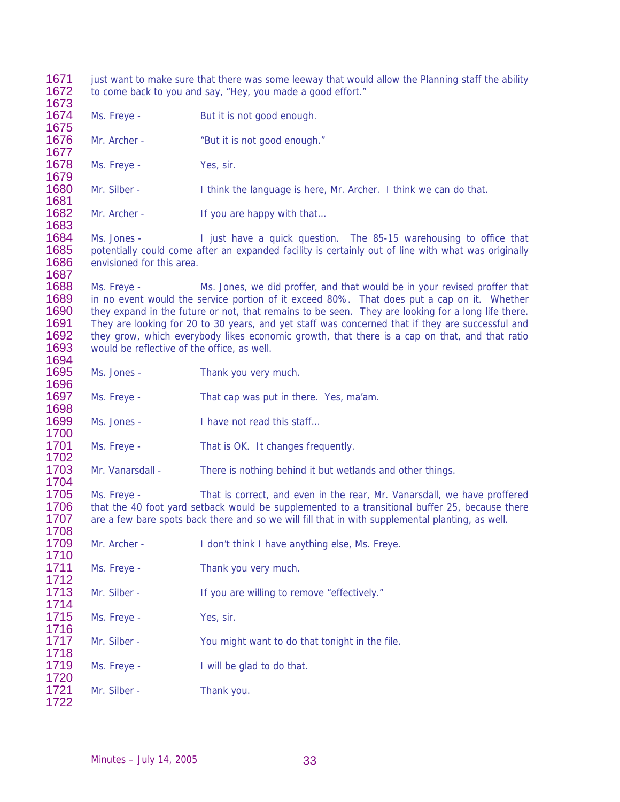just want to make sure that there was some leeway that would allow the Planning staff the ability to come back to you and say, "Hey, you made a good effort." Ms. Freye - But it is not good enough. Mr. Archer - "But it is not good enough." Ms. Freye - Yes, sir. Mr. Silber - I think the language is here, Mr. Archer. I think we can do that. Mr. Archer - If you are happy with that... Ms. Jones - I just have a quick question. The 85-15 warehousing to office that potentially could come after an expanded facility is certainly out of line with what was originally envisioned for this area. Ms. Freye - Ms. Jones, we did proffer, and that would be in your revised proffer that in no event would the service portion of it exceed 80%. That does put a cap on it. Whether they expand in the future or not, that remains to be seen. They are looking for a long life there. They are looking for 20 to 30 years, and yet staff was concerned that if they are successful and they grow, which everybody likes economic growth, that there is a cap on that, and that ratio would be reflective of the office, as well. Ms. Jones - Thank you very much. Ms. Freye - That cap was put in there. Yes, ma'am. Ms. Jones - I have not read this staff... Ms. Freye - That is OK. It changes frequently. Mr. Vanarsdall - There is nothing behind it but wetlands and other things. Ms. Freye - That is correct, and even in the rear, Mr. Vanarsdall, we have proffered that the 40 foot yard setback would be supplemented to a transitional buffer 25, because there are a few bare spots back there and so we will fill that in with supplemental planting, as well. Mr. Archer - I don't think I have anything else, Ms. Freye. Ms. Freye - Thank you very much. Mr. Silber - If you are willing to remove "effectively." Ms. Freye - Yes, sir. Mr. Silber - You might want to do that tonight in the file. Ms. Freye - I will be glad to do that. Mr. Silber - Thank you.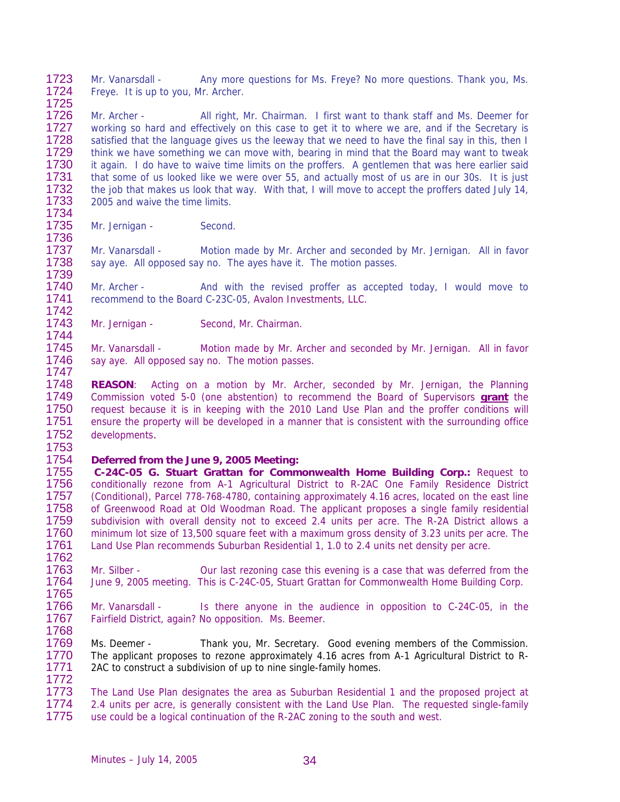1723 1724 1725 Mr. Vanarsdall - Any more questions for Ms. Freye? No more questions. Thank you, Ms. Freye. It is up to you, Mr. Archer.

1726 1727 1728 1729 1730 1731 1732 1733 1734 Mr. Archer - All right, Mr. Chairman. I first want to thank staff and Ms. Deemer for working so hard and effectively on this case to get it to where we are, and if the Secretary is satisfied that the language gives us the leeway that we need to have the final say in this, then I think we have something we can move with, bearing in mind that the Board may want to tweak it again. I do have to waive time limits on the proffers. A gentlemen that was here earlier said that some of us looked like we were over 55, and actually most of us are in our 30s. It is just the job that makes us look that way. With that, I will move to accept the proffers dated July 14, 2005 and waive the time limits.

1735 Mr. Jernigan - Second.

1736

1747

1753

1737 1738 1739 Mr. Vanarsdall - Motion made by Mr. Archer and seconded by Mr. Jernigan. All in favor say aye. All opposed say no. The ayes have it. The motion passes.

1740 1741 1742 Mr. Archer - And with the revised proffer as accepted today, I would move to recommend to the Board C-23C-05, Avalon Investments, LLC.

1743 1744 Mr. Jernigan - Second, Mr. Chairman.

1745 1746 Mr. Vanarsdall - Motion made by Mr. Archer and seconded by Mr. Jernigan. All in favor say aye. All opposed say no. The motion passes.

1748 **REASON**: Acting on a motion by Mr. Archer, seconded by Mr. Jernigan, the Planning Commission voted 5-0 (one abstention) to recommend the Board of Supervisors **grant** the request because it is in keeping with the 2010 Land Use Plan and the proffer conditions will ensure the property will be developed in a manner that is consistent with the surrounding office developments. 1749 1750 1751 1752

1754 **Deferred from the June 9, 2005 Meeting:** 

1755 1756 1757 1758 1759 1760 1761 1762  **C-24C-05 G. Stuart Grattan for Commonwealth Home Building Corp.:** Request to conditionally rezone from A-1 Agricultural District to R-2AC One Family Residence District (Conditional), Parcel 778-768-4780, containing approximately 4.16 acres, located on the east line of Greenwood Road at Old Woodman Road. The applicant proposes a single family residential subdivision with overall density not to exceed 2.4 units per acre. The R-2A District allows a minimum lot size of 13,500 square feet with a maximum gross density of 3.23 units per acre. The Land Use Plan recommends Suburban Residential 1, 1.0 to 2.4 units net density per acre.

1763 1764 1765 Mr. Silber - Our last rezoning case this evening is a case that was deferred from the June 9, 2005 meeting. This is C-24C-05, Stuart Grattan for Commonwealth Home Building Corp.

1766 1767 1768 Mr. Vanarsdall - Is there anyone in the audience in opposition to C-24C-05, in the Fairfield District, again? No opposition. Ms. Beemer.

1769 1770 1771 1772 Ms. Deemer - Thank you, Mr. Secretary. Good evening members of the Commission. The applicant proposes to rezone approximately 4.16 acres from A-1 Agricultural District to R-2AC to construct a subdivision of up to nine single-family homes.

1773 1774 1775 The Land Use Plan designates the area as Suburban Residential 1 and the proposed project at 2.4 units per acre, is generally consistent with the Land Use Plan. The requested single-family use could be a logical continuation of the R-2AC zoning to the south and west.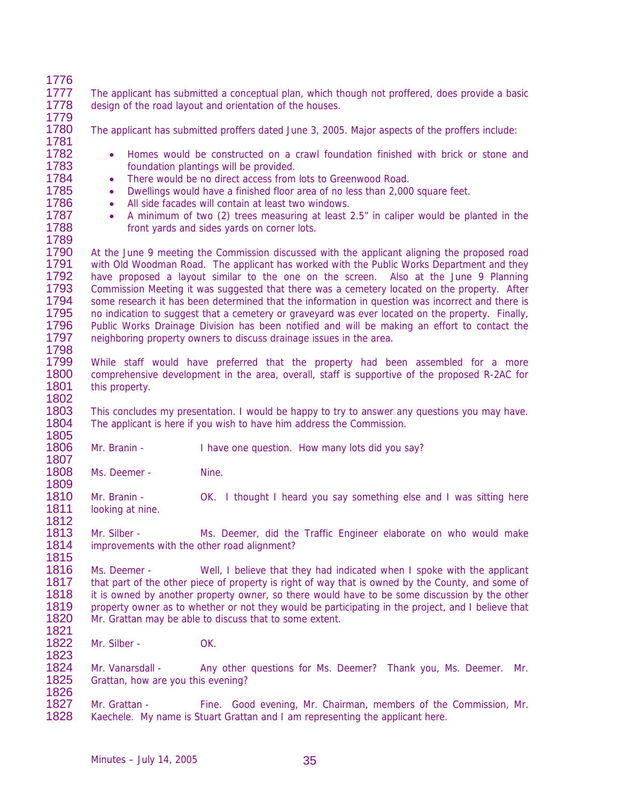| 1776 |                                                                                                    |                                                                                                  |  |  |
|------|----------------------------------------------------------------------------------------------------|--------------------------------------------------------------------------------------------------|--|--|
| 1777 |                                                                                                    | The applicant has submitted a conceptual plan, which though not proffered, does provide a basic  |  |  |
| 1778 | design of the road layout and orientation of the houses.                                           |                                                                                                  |  |  |
| 1779 |                                                                                                    |                                                                                                  |  |  |
| 1780 |                                                                                                    | The applicant has submitted proffers dated June 3, 2005. Major aspects of the proffers include:  |  |  |
| 1781 |                                                                                                    |                                                                                                  |  |  |
| 1782 | $\bullet$                                                                                          | Homes would be constructed on a crawl foundation finished with brick or stone and                |  |  |
| 1783 |                                                                                                    | foundation plantings will be provided.                                                           |  |  |
| 1784 | $\bullet$                                                                                          | There would be no direct access from lots to Greenwood Road.                                     |  |  |
| 1785 | $\bullet$                                                                                          | Dwellings would have a finished floor area of no less than 2,000 square feet.                    |  |  |
| 1786 | $\bullet$                                                                                          | All side facades will contain at least two windows.                                              |  |  |
| 1787 | $\bullet$                                                                                          | A minimum of two (2) trees measuring at least 2.5" in caliper would be planted in the            |  |  |
| 1788 |                                                                                                    | front yards and sides yards on corner lots.                                                      |  |  |
| 1789 |                                                                                                    |                                                                                                  |  |  |
| 1790 |                                                                                                    |                                                                                                  |  |  |
| 1791 |                                                                                                    | At the June 9 meeting the Commission discussed with the applicant aligning the proposed road     |  |  |
| 1792 | with Old Woodman Road. The applicant has worked with the Public Works Department and they          |                                                                                                  |  |  |
| 1793 |                                                                                                    | have proposed a layout similar to the one on the screen. Also at the June 9 Planning             |  |  |
| 1794 |                                                                                                    | Commission Meeting it was suggested that there was a cemetery located on the property. After     |  |  |
| 1795 |                                                                                                    | some research it has been determined that the information in question was incorrect and there is |  |  |
| 1796 |                                                                                                    | no indication to suggest that a cemetery or graveyard was ever located on the property. Finally, |  |  |
| 1797 | Public Works Drainage Division has been notified and will be making an effort to contact the       |                                                                                                  |  |  |
| 1798 |                                                                                                    | neighboring property owners to discuss drainage issues in the area.                              |  |  |
| 1799 |                                                                                                    |                                                                                                  |  |  |
| 1800 | While staff would have preferred that the property had been assembled for a more                   |                                                                                                  |  |  |
|      |                                                                                                    | comprehensive development in the area, overall, staff is supportive of the proposed R-2AC for    |  |  |
| 1801 | this property.                                                                                     |                                                                                                  |  |  |
| 1802 |                                                                                                    |                                                                                                  |  |  |
| 1803 |                                                                                                    | This concludes my presentation. I would be happy to try to answer any questions you may have.    |  |  |
| 1804 |                                                                                                    | The applicant is here if you wish to have him address the Commission.                            |  |  |
| 1805 |                                                                                                    |                                                                                                  |  |  |
| 1806 | Mr. Branin -                                                                                       | I have one question. How many lots did you say?                                                  |  |  |
| 1807 |                                                                                                    |                                                                                                  |  |  |
| 1808 | Ms. Deemer -                                                                                       | Nine.                                                                                            |  |  |
| 1809 |                                                                                                    |                                                                                                  |  |  |
| 1810 | Mr. Branin -                                                                                       | OK. I thought I heard you say something else and I was sitting here                              |  |  |
| 1811 | looking at nine.                                                                                   |                                                                                                  |  |  |
| 1812 |                                                                                                    |                                                                                                  |  |  |
| 1813 | Mr. Silber -                                                                                       | Ms. Deemer, did the Traffic Engineer elaborate on who would make                                 |  |  |
| 1814 | improvements with the other road alignment?                                                        |                                                                                                  |  |  |
| 1815 |                                                                                                    |                                                                                                  |  |  |
| 1816 | Ms. Deemer -                                                                                       | Well, I believe that they had indicated when I spoke with the applicant                          |  |  |
| 1817 | that part of the other piece of property is right of way that is owned by the County, and some of  |                                                                                                  |  |  |
| 1818 | it is owned by another property owner, so there would have to be some discussion by the other      |                                                                                                  |  |  |
| 1819 | property owner as to whether or not they would be participating in the project, and I believe that |                                                                                                  |  |  |
| 1820 |                                                                                                    | Mr. Grattan may be able to discuss that to some extent.                                          |  |  |
| 1821 |                                                                                                    |                                                                                                  |  |  |
| 1822 | Mr. Silber -                                                                                       | OK.                                                                                              |  |  |
| 1823 |                                                                                                    |                                                                                                  |  |  |
| 1824 | Mr. Vanarsdall -                                                                                   | Any other questions for Ms. Deemer? Thank you, Ms. Deemer.<br>Mr.                                |  |  |
| 1825 | Grattan, how are you this evening?                                                                 |                                                                                                  |  |  |
| 1826 |                                                                                                    |                                                                                                  |  |  |
| 1827 | Mr. Grattan -                                                                                      | Fine. Good evening, Mr. Chairman, members of the Commission, Mr.                                 |  |  |
| 1828 |                                                                                                    | Kaechele. My name is Stuart Grattan and I am representing the applicant here.                    |  |  |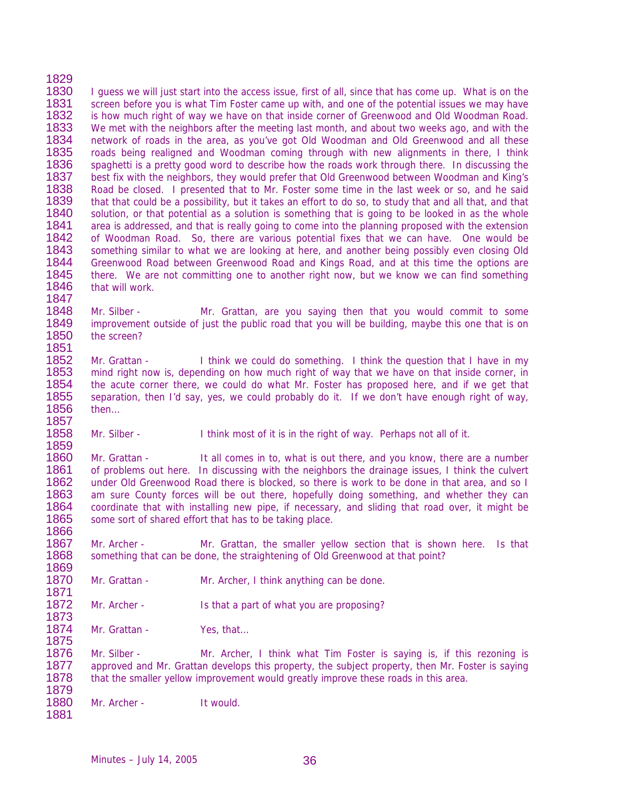1829 1830 1831 1832 1833 1834 1835 1836 1837 1838 1839 1840 1841 1842 1843 1844 1845 1846 1847 I guess we will just start into the access issue, first of all, since that has come up. What is on the screen before you is what Tim Foster came up with, and one of the potential issues we may have is how much right of way we have on that inside corner of Greenwood and Old Woodman Road. We met with the neighbors after the meeting last month, and about two weeks ago, and with the network of roads in the area, as you've got Old Woodman and Old Greenwood and all these roads being realigned and Woodman coming through with new alignments in there, I think spaghetti is a pretty good word to describe how the roads work through there. In discussing the best fix with the neighbors, they would prefer that Old Greenwood between Woodman and King's Road be closed. I presented that to Mr. Foster some time in the last week or so, and he said that that could be a possibility, but it takes an effort to do so, to study that and all that, and that solution, or that potential as a solution is something that is going to be looked in as the whole area is addressed, and that is really going to come into the planning proposed with the extension of Woodman Road. So, there are various potential fixes that we can have. One would be something similar to what we are looking at here, and another being possibly even closing Old Greenwood Road between Greenwood Road and Kings Road, and at this time the options are there. We are not committing one to another right now, but we know we can find something that will work.

1848 1849 1850 1851 Mr. Silber - Mr. Grattan, are you saying then that you would commit to some improvement outside of just the public road that you will be building, maybe this one that is on the screen?

1852 1853 1854 1855 1856 Mr. Grattan - I think we could do something. I think the question that I have in my mind right now is, depending on how much right of way that we have on that inside corner, in the acute corner there, we could do what Mr. Foster has proposed here, and if we get that separation, then I'd say, yes, we could probably do it. If we don't have enough right of way, then…

1858 1859 Mr. Silber - I think most of it is in the right of way. Perhaps not all of it.

1860 1861 1862 1863 1864 1865 1866 Mr. Grattan - It all comes in to, what is out there, and you know, there are a number of problems out here. In discussing with the neighbors the drainage issues, I think the culvert under Old Greenwood Road there is blocked, so there is work to be done in that area, and so I am sure County forces will be out there, hopefully doing something, and whether they can coordinate that with installing new pipe, if necessary, and sliding that road over, it might be some sort of shared effort that has to be taking place.

1867 1868 1869 Mr. Archer - Mr. Grattan, the smaller yellow section that is shown here. Is that something that can be done, the straightening of Old Greenwood at that point?

1870 1871 Mr. Grattan - Mr. Archer, I think anything can be done.

1872 1873 Mr. Archer - Is that a part of what you are proposing?

1874 1875 Mr. Grattan - Yes, that...

1876 1877 1878 1879 Mr. Silber - Mr. Archer, I think what Tim Foster is saying is, if this rezoning is approved and Mr. Grattan develops this property, the subject property, then Mr. Foster is saying that the smaller yellow improvement would greatly improve these roads in this area.

1880 Mr. Archer - It would.

1881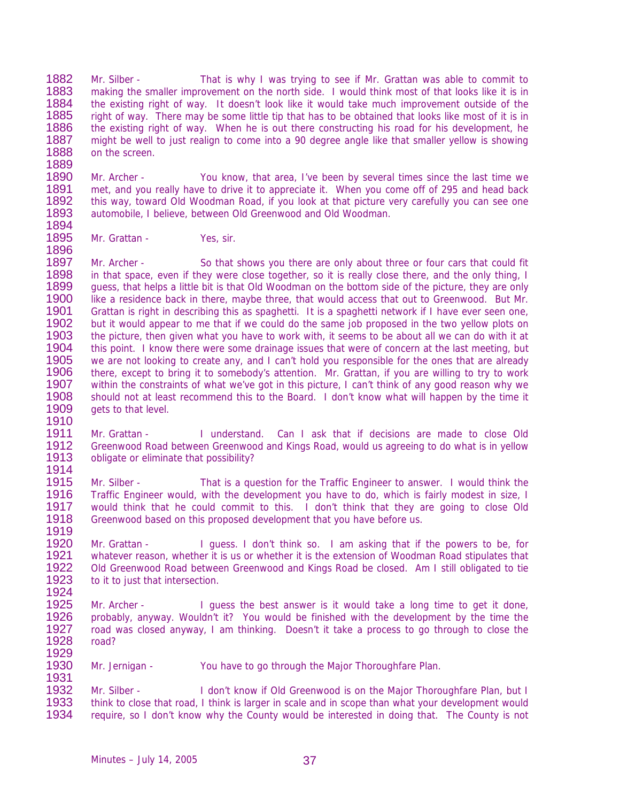1882 1883 1884 1885 1886 1887 1888 1889 Mr. Silber - That is why I was trying to see if Mr. Grattan was able to commit to making the smaller improvement on the north side. I would think most of that looks like it is in the existing right of way. It doesn't look like it would take much improvement outside of the right of way. There may be some little tip that has to be obtained that looks like most of it is in the existing right of way. When he is out there constructing his road for his development, he might be well to just realign to come into a 90 degree angle like that smaller yellow is showing on the screen.

1890 1891 1892 1893 1894 Mr. Archer - You know, that area, I've been by several times since the last time we met, and you really have to drive it to appreciate it. When you come off of 295 and head back this way, toward Old Woodman Road, if you look at that picture very carefully you can see one automobile, I believe, between Old Greenwood and Old Woodman.

1895 1896 Mr. Grattan - Yes, sir.

1897 1898 1899 1900 1901 1902 1903 1904 1905 1906 1907 1908 1909 1910 Mr. Archer - So that shows you there are only about three or four cars that could fit in that space, even if they were close together, so it is really close there, and the only thing, I guess, that helps a little bit is that Old Woodman on the bottom side of the picture, they are only like a residence back in there, maybe three, that would access that out to Greenwood. But Mr. Grattan is right in describing this as spaghetti. It is a spaghetti network if I have ever seen one, but it would appear to me that if we could do the same job proposed in the two yellow plots on the picture, then given what you have to work with, it seems to be about all we can do with it at this point. I know there were some drainage issues that were of concern at the last meeting, but we are not looking to create any, and I can't hold you responsible for the ones that are already there, except to bring it to somebody's attention. Mr. Grattan, if you are willing to try to work within the constraints of what we've got in this picture, I can't think of any good reason why we should not at least recommend this to the Board. I don't know what will happen by the time it gets to that level.

1911 1912 1913 1914 Mr. Grattan - I understand. Can I ask that if decisions are made to close Old Greenwood Road between Greenwood and Kings Road, would us agreeing to do what is in yellow obligate or eliminate that possibility?

1915 1916 1917 1918 1919 Mr. Silber - That is a question for the Traffic Engineer to answer. I would think the Traffic Engineer would, with the development you have to do, which is fairly modest in size, I would think that he could commit to this. I don't think that they are going to close Old Greenwood based on this proposed development that you have before us.

1920 1921 1922 1923 1924 Mr. Grattan - I guess. I don't think so. I am asking that if the powers to be, for whatever reason, whether it is us or whether it is the extension of Woodman Road stipulates that Old Greenwood Road between Greenwood and Kings Road be closed. Am I still obligated to tie to it to just that intersection.

1925 1926 1927 1928 1929 Mr. Archer - I guess the best answer is it would take a long time to get it done, probably, anyway. Wouldn't it? You would be finished with the development by the time the road was closed anyway, I am thinking. Doesn't it take a process to go through to close the road?

1930 Mr. Jernigan - You have to go through the Major Thoroughfare Plan.

1932 1933 1934 Mr. Silber - I don't know if Old Greenwood is on the Major Thoroughfare Plan, but I think to close that road, I think is larger in scale and in scope than what your development would require, so I don't know why the County would be interested in doing that. The County is not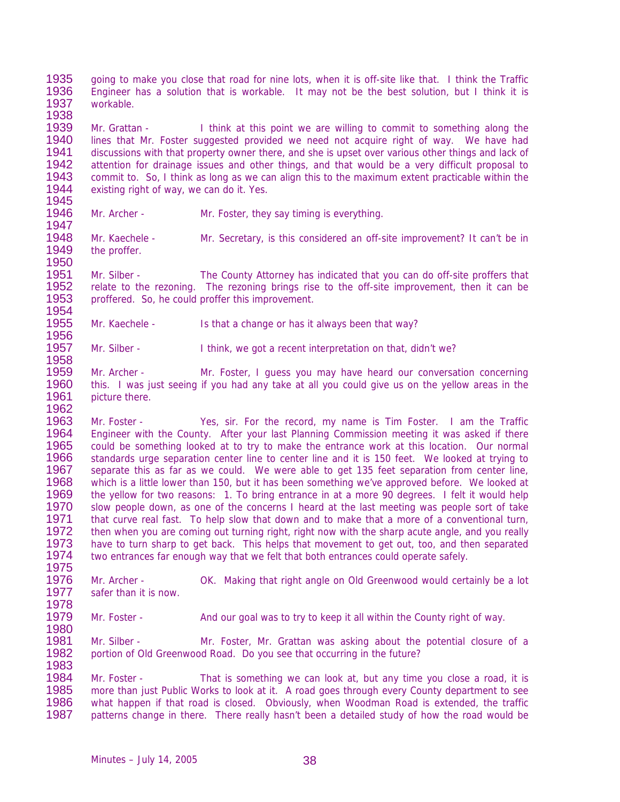1935 1936 1937 going to make you close that road for nine lots, when it is off-site like that. I think the Traffic Engineer has a solution that is workable. It may not be the best solution, but I think it is workable.

1939 1940 1941 1942 1943 1944 1945 Mr. Grattan - I think at this point we are willing to commit to something along the lines that Mr. Foster suggested provided we need not acquire right of way. We have had discussions with that property owner there, and she is upset over various other things and lack of attention for drainage issues and other things, and that would be a very difficult proposal to commit to. So, I think as long as we can align this to the maximum extent practicable within the existing right of way, we can do it. Yes.

1946 Mr. Archer - Mr. Foster, they say timing is everything.

1938

1947

1950

1958

1962

1975

1978

1983

1948 1949 Mr. Kaechele - Mr. Secretary, is this considered an off-site improvement? It can't be in the proffer.

1951 1952 1953 1954 Mr. Silber - The County Attorney has indicated that you can do off-site proffers that relate to the rezoning. The rezoning brings rise to the off-site improvement, then it can be proffered. So, he could proffer this improvement.

1955 1956 Mr. Kaechele - Is that a change or has it always been that way?

1957 Mr. Silber - I think, we got a recent interpretation on that, didn't we?

1959 1960 1961 Mr. Archer - Mr. Foster, I guess you may have heard our conversation concerning this. I was just seeing if you had any take at all you could give us on the yellow areas in the picture there.

1963 1964 1965 1966 1967 1968 1969 1970 1971 1972 1973 1974 Mr. Foster - Yes, sir. For the record, my name is Tim Foster. I am the Traffic Engineer with the County. After your last Planning Commission meeting it was asked if there could be something looked at to try to make the entrance work at this location. Our normal standards urge separation center line to center line and it is 150 feet. We looked at trying to separate this as far as we could. We were able to get 135 feet separation from center line, which is a little lower than 150, but it has been something we've approved before. We looked at the yellow for two reasons: 1. To bring entrance in at a more 90 degrees. I felt it would help slow people down, as one of the concerns I heard at the last meeting was people sort of take that curve real fast. To help slow that down and to make that a more of a conventional turn, then when you are coming out turning right, right now with the sharp acute angle, and you really have to turn sharp to get back. This helps that movement to get out, too, and then separated two entrances far enough way that we felt that both entrances could operate safely.

1976 1977 Mr. Archer - OK. Making that right angle on Old Greenwood would certainly be a lot safer than it is now.

1979 1980 Mr. Foster - And our goal was to try to keep it all within the County right of way.

1981 1982 Mr. Silber - Mr. Foster, Mr. Grattan was asking about the potential closure of a portion of Old Greenwood Road. Do you see that occurring in the future?

1984 1985 1986 1987 Mr. Foster - That is something we can look at, but any time you close a road, it is more than just Public Works to look at it. A road goes through every County department to see what happen if that road is closed. Obviously, when Woodman Road is extended, the traffic patterns change in there. There really hasn't been a detailed study of how the road would be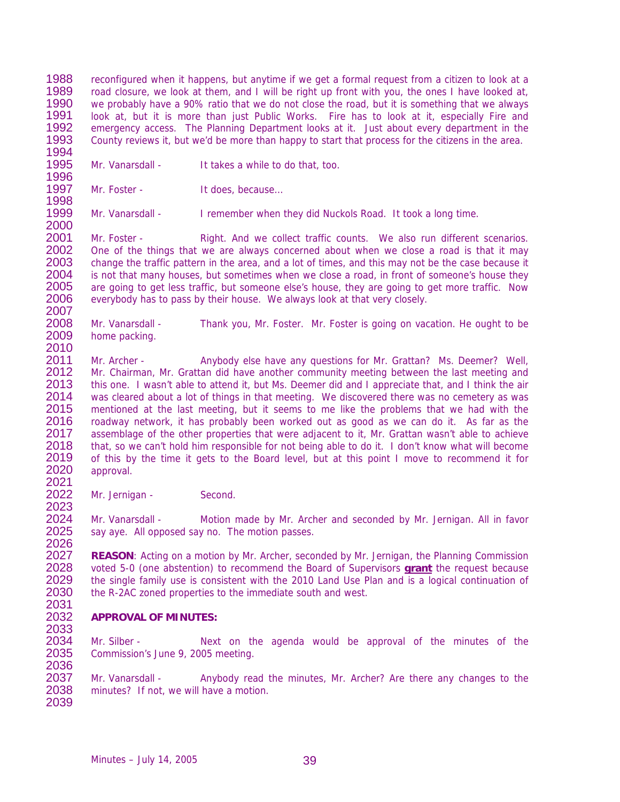1988 1989 1990 1991 1992 1993 1994 reconfigured when it happens, but anytime if we get a formal request from a citizen to look at a road closure, we look at them, and I will be right up front with you, the ones I have looked at, we probably have a 90% ratio that we do not close the road, but it is something that we always look at, but it is more than just Public Works. Fire has to look at it, especially Fire and emergency access. The Planning Department looks at it. Just about every department in the County reviews it, but we'd be more than happy to start that process for the citizens in the area.

1995 1996 Mr. Vanarsdall - It takes a while to do that, too.

1997 1998 Mr. Foster - It does, because...

2000

2007

2021

2024 2025 2026

2031

2034 2035 2036

1999 Mr. Vanarsdall - I remember when they did Nuckols Road. It took a long time.

2001 2002 2003 2004 2005 2006 Mr. Foster - Right. And we collect traffic counts. We also run different scenarios. One of the things that we are always concerned about when we close a road is that it may change the traffic pattern in the area, and a lot of times, and this may not be the case because it is not that many houses, but sometimes when we close a road, in front of someone's house they are going to get less traffic, but someone else's house, they are going to get more traffic. Now everybody has to pass by their house. We always look at that very closely.

2008 2009 2010 Mr. Vanarsdall - Thank you, Mr. Foster. Mr. Foster is going on vacation. He ought to be home packing.

2011 2012 2013 2014 2015 2016 2017 2018 2019 2020 Mr. Archer - Anybody else have any questions for Mr. Grattan? Ms. Deemer? Well, Mr. Chairman, Mr. Grattan did have another community meeting between the last meeting and this one. I wasn't able to attend it, but Ms. Deemer did and I appreciate that, and I think the air was cleared about a lot of things in that meeting. We discovered there was no cemetery as was mentioned at the last meeting, but it seems to me like the problems that we had with the roadway network, it has probably been worked out as good as we can do it. As far as the assemblage of the other properties that were adjacent to it, Mr. Grattan wasn't able to achieve that, so we can't hold him responsible for not being able to do it. I don't know what will become of this by the time it gets to the Board level, but at this point I move to recommend it for approval.

2022 2023 Mr. Jernigan - Second.

> Mr. Vanarsdall - Motion made by Mr. Archer and seconded by Mr. Jernigan. All in favor say aye. All opposed say no. The motion passes.

2027 **REASON**: Acting on a motion by Mr. Archer, seconded by Mr. Jernigan, the Planning Commission voted 5-0 (one abstention) to recommend the Board of Supervisors **grant** the request because the single family use is consistent with the 2010 Land Use Plan and is a logical continuation of the R-2AC zoned properties to the immediate south and west. 2028 2029 2030

## 2032 2033 **APPROVAL OF MINUTES:**

Mr. Silber - Next on the agenda would be approval of the minutes of the Commission's June 9, 2005 meeting.

2037 2038 2039 Mr. Vanarsdall - Anybody read the minutes, Mr. Archer? Are there any changes to the minutes? If not, we will have a motion.